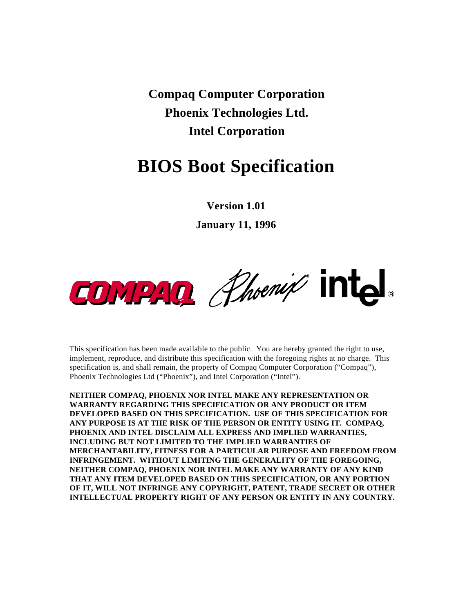**Compaq Computer Corporation Phoenix Technologies Ltd. Intel Corporation**

# **BIOS Boot Specification**

**Version 1.01**

**January 11, 1996**



This specification has been made available to the public. You are hereby granted the right to use, implement, reproduce, and distribute this specification with the foregoing rights at no charge. This specification is, and shall remain, the property of Compaq Computer Corporation ("Compaq"), Phoenix Technologies Ltd ("Phoenix"), and Intel Corporation ("Intel").

**NEITHER COMPAQ, PHOENIX NOR INTEL MAKE ANY REPRESENTATION OR WARRANTY REGARDING THIS SPECIFICATION OR ANY PRODUCT OR ITEM DEVELOPED BASED ON THIS SPECIFICATION. USE OF THIS SPECIFICATION FOR ANY PURPOSE IS AT THE RISK OF THE PERSON OR ENTITY USING IT. COMPAQ, PHOENIX AND INTEL DISCLAIM ALL EXPRESS AND IMPLIED WARRANTIES, INCLUDING BUT NOT LIMITED TO THE IMPLIED WARRANTIES OF MERCHANTABILITY, FITNESS FOR A PARTICULAR PURPOSE AND FREEDOM FROM INFRINGEMENT. WITHOUT LIMITING THE GENERALITY OF THE FOREGOING, NEITHER COMPAQ, PHOENIX NOR INTEL MAKE ANY WARRANTY OF ANY KIND THAT ANY ITEM DEVELOPED BASED ON THIS SPECIFICATION, OR ANY PORTION OF IT, WILL NOT INFRINGE ANY COPYRIGHT, PATENT, TRADE SECRET OR OTHER INTELLECTUAL PROPERTY RIGHT OF ANY PERSON OR ENTITY IN ANY COUNTRY.**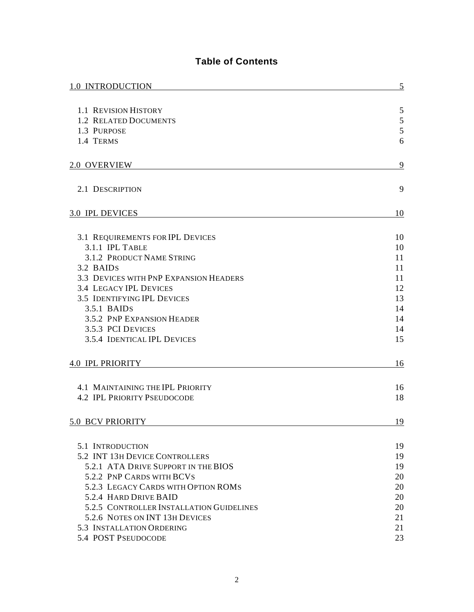# **Table of Contents**

| 1.0 INTRODUCTION                                                        | 5        |
|-------------------------------------------------------------------------|----------|
| 1.1 REVISION HISTORY                                                    | 5        |
| <b>1.2 RELATED DOCUMENTS</b>                                            | 5        |
| 1.3 PURPOSE                                                             | 5        |
| 1.4 TERMS                                                               | 6        |
|                                                                         |          |
| 2.0 OVERVIEW                                                            | 9        |
| 2.1 DESCRIPTION                                                         | 9        |
| <b>3.0 IPL DEVICES</b>                                                  | 10       |
|                                                                         |          |
| 3.1 REQUIREMENTS FOR IPL DEVICES                                        | 10       |
| 3.1.1 IPL TABLE                                                         | 10       |
| 3.1.2 PRODUCT NAME STRING                                               | 11       |
| 3.2 BAIDS                                                               | 11       |
| 3.3 DEVICES WITH PNP EXPANSION HEADERS<br><b>3.4 LEGACY IPL DEVICES</b> | 11<br>12 |
| <b>3.5 IDENTIFYING IPL DEVICES</b>                                      | 13       |
| $3.5.1$ BAIDS                                                           | 14       |
| 3.5.2 PNP EXPANSION HEADER                                              | 14       |
| 3.5.3 PCI DEVICES                                                       | 14       |
| 3.5.4 IDENTICAL IPL DEVICES                                             | 15       |
| <b>4.0 IPL PRIORITY</b>                                                 | 16       |
| <b>4.1 MAINTAINING THE IPL PRIORITY</b>                                 | 16       |
| <b>4.2 IPL PRIORITY PSEUDOCODE</b>                                      | 18       |
| <b>5.0 BCV PRIORITY</b>                                                 | 19       |
|                                                                         |          |
| 5.1 INTRODUCTION                                                        | 19       |
| 5.2 INT 13H DEVICE CONTROLLERS<br>5.2.1 ATA DRIVE SUPPORT IN THE BIOS   | 19<br>19 |
| 5.2.2 PNP CARDS WITH BCVS                                               | 20       |
| 5.2.3 LEGACY CARDS WITH OPTION ROMS                                     | 20       |
| 5.2.4 HARD DRIVE BAID                                                   | 20       |
| 5.2.5 CONTROLLER INSTALLATION GUIDELINES                                | 20       |
| 5.2.6 NOTES ON INT 13H DEVICES                                          | 21       |
| 5.3 INSTALLATION ORDERING                                               | 21       |
| 5.4 POST PSEUDOCODE                                                     | 23       |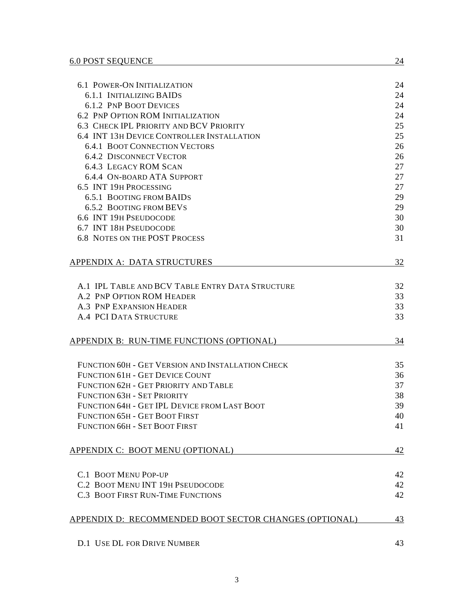|                                                                | 24 |
|----------------------------------------------------------------|----|
| <b>6.1 POWER-ON INITIALIZATION</b><br>6.1.1 INITIALIZING BAIDS | 24 |
| <b>6.1.2 PNP BOOT DEVICES</b>                                  | 24 |
| <b>6.2 PNP OPTION ROM INITIALIZATION</b>                       | 24 |
| <b>6.3 CHECK IPL PRIORITY AND BCV PRIORITY</b>                 | 25 |
| 6.4 INT 13H DEVICE CONTROLLER INSTALLATION                     | 25 |
| <b>6.4.1 BOOT CONNECTION VECTORS</b>                           | 26 |
| <b>6.4.2 DISCONNECT VECTOR</b>                                 | 26 |
| <b>6.4.3 LEGACY ROM SCAN</b>                                   | 27 |
| <b>6.4.4 ON-BOARD ATA SUPPORT</b>                              | 27 |
| 6.5 INT 19H PROCESSING                                         | 27 |
| <b>6.5.1 BOOTING FROM BAIDS</b>                                | 29 |
| <b>6.5.2 BOOTING FROM BEVS</b>                                 | 29 |
| 6.6 INT 19H PSEUDOCODE                                         | 30 |
| 6.7 INT 18H PSEUDOCODE                                         | 30 |
| <b>6.8 NOTES ON THE POST PROCESS</b>                           | 31 |
|                                                                |    |
| <b>APPENDIX A: DATA STRUCTURES</b>                             | 32 |
| A.1 IPL TABLE AND BCV TABLE ENTRY DATA STRUCTURE               | 32 |
| A.2 PNP OPTION ROM HEADER                                      | 33 |
| A.3 PNP EXPANSION HEADER                                       | 33 |
| <b>A.4 PCI DATA STRUCTURE</b>                                  | 33 |
| APPENDIX B: RUN-TIME FUNCTIONS (OPTIONAL)                      | 34 |
|                                                                |    |
| FUNCTION 60H - GET VERSION AND INSTALLATION CHECK              | 35 |
| FUNCTION 61H - GET DEVICE COUNT                                | 36 |
| FUNCTION 62H - GET PRIORITY AND TABLE                          | 37 |
| FUNCTION 63H - SET PRIORITY                                    | 38 |
| FUNCTION 64H - GET IPL DEVICE FROM LAST BOOT                   | 39 |
| FUNCTION 65H - GET BOOT FIRST                                  | 40 |
| FUNCTION 66H - SET BOOT FIRST                                  | 41 |
| APPENDIX C: BOOT MENU (OPTIONAL)                               | 42 |
|                                                                |    |
| <b>C.1 BOOT MENU POP-UP</b>                                    | 42 |
| C.2 BOOT MENU INT 19H PSEUDOCODE                               | 42 |
| <b>C.3 BOOT FIRST RUN-TIME FUNCTIONS</b>                       | 42 |
| APPENDIX D: RECOMMENDED BOOT SECTOR CHANGES (OPTIONAL)         | 43 |
| <b>D.1 USE DL FOR DRIVE NUMBER</b>                             | 43 |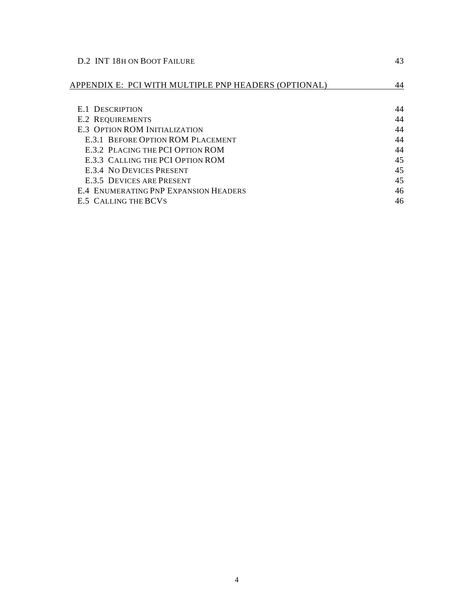| D.2 INT 18H ON BOOT FAILURE                          |    |  |  |  |  |
|------------------------------------------------------|----|--|--|--|--|
| APPENDIX E: PCI WITH MULTIPLE PNP HEADERS (OPTIONAL) | 44 |  |  |  |  |
| <b>E.1 DESCRIPTION</b>                               | 44 |  |  |  |  |
| <b>E.2 REQUIREMENTS</b>                              | 44 |  |  |  |  |
| <b>E.3 OPTION ROM INITIALIZATION</b>                 | 44 |  |  |  |  |
| <b>E.3.1 BEFORE OPTION ROM PLACEMENT</b>             | 44 |  |  |  |  |
| <b>E.3.2 PLACING THE PCI OPTION ROM</b>              | 44 |  |  |  |  |
| E.3.3 CALLING THE PCI OPTION ROM                     | 45 |  |  |  |  |
| <b>E.3.4 NO DEVICES PRESENT</b>                      | 45 |  |  |  |  |
| E.3.5 DEVICES ARE PRESENT                            | 45 |  |  |  |  |
| <b>E.4 ENUMERATING PNP EXPANSION HEADERS</b>         | 46 |  |  |  |  |
| <b>E.5 CALLING THE BCVS</b>                          | 46 |  |  |  |  |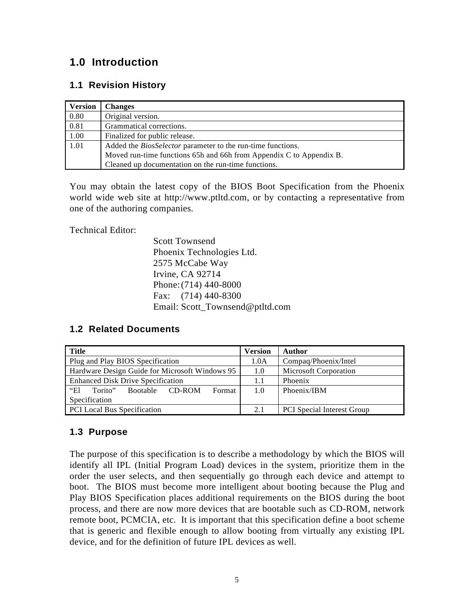# **1.0 Introduction**

# **1.1 Revision History**

| <b>Version</b> | <b>Changes</b>                                                      |
|----------------|---------------------------------------------------------------------|
| 0.80           | Original version.                                                   |
| 0.81           | Grammatical corrections.                                            |
| 1.00           | Finalized for public release.                                       |
| 1.01           | Added the <i>BiosSelector</i> parameter to the run-time functions.  |
|                | Moved run-time functions 65h and 66h from Appendix C to Appendix B. |
|                | Cleaned up documentation on the run-time functions.                 |

You may obtain the latest copy of the BIOS Boot Specification from the Phoenix world wide web site at http://www.ptltd.com, or by contacting a representative from one of the authoring companies.

Technical Editor:

Scott Townsend Phoenix Technologies Ltd. 2575 McCabe Way Irvine, CA 92714 Phone:(714) 440-8000 Fax: (714) 440-8300 Email: Scott\_Townsend@ptltd.com

## **1.2 Related Documents**

| <b>Title</b>                                                 | Version | Author                            |
|--------------------------------------------------------------|---------|-----------------------------------|
| Plug and Play BIOS Specification                             | 1.0A    | Compaq/Phoenix/Intel              |
| Hardware Design Guide for Microsoft Windows 95               | 1.0     | <b>Microsoft Corporation</b>      |
| <b>Enhanced Disk Drive Specification</b>                     | 1.1     | Phoenix                           |
| <b>"El</b><br>Format<br><b>Bootable</b><br>Torito"<br>CD-ROM | 1.0     | Phoenix/IBM                       |
| Specification                                                |         |                                   |
| <b>PCI</b> Local Bus Specification                           | 2.1     | <b>PCI</b> Special Interest Group |

## **1.3 Purpose**

The purpose of this specification is to describe a methodology by which the BIOS will identify all IPL (Initial Program Load) devices in the system, prioritize them in the order the user selects, and then sequentially go through each device and attempt to boot. The BIOS must become more intelligent about booting because the Plug and Play BIOS Specification places additional requirements on the BIOS during the boot process, and there are now more devices that are bootable such as CD-ROM, network remote boot, PCMCIA, etc. It is important that this specification define a boot scheme that is generic and flexible enough to allow booting from virtually any existing IPL device, and for the definition of future IPL devices as well.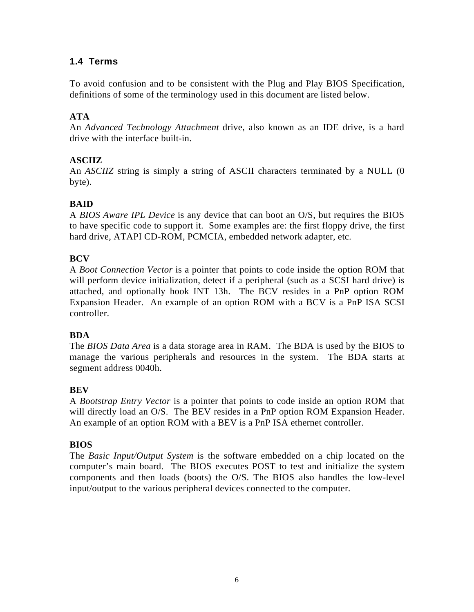# **1.4 Terms**

To avoid confusion and to be consistent with the Plug and Play BIOS Specification, definitions of some of the terminology used in this document are listed below.

# **ATA**

An *Advanced Technology Attachment* drive, also known as an IDE drive, is a hard drive with the interface built-in.

# **ASCIIZ**

An *ASCIIZ* string is simply a string of ASCII characters terminated by a NULL (0 byte).

# **BAID**

A *BIOS Aware IPL Device* is any device that can boot an O/S, but requires the BIOS to have specific code to support it. Some examples are: the first floppy drive, the first hard drive, ATAPI CD-ROM, PCMCIA, embedded network adapter, etc.

# **BCV**

A *Boot Connection Vector* is a pointer that points to code inside the option ROM that will perform device initialization, detect if a peripheral (such as a SCSI hard drive) is attached, and optionally hook INT 13h. The BCV resides in a PnP option ROM Expansion Header. An example of an option ROM with a BCV is a PnP ISA SCSI controller.

## **BDA**

The *BIOS Data Area* is a data storage area in RAM. The BDA is used by the BIOS to manage the various peripherals and resources in the system. The BDA starts at segment address 0040h.

## **BEV**

A *Bootstrap Entry Vector* is a pointer that points to code inside an option ROM that will directly load an O/S. The BEV resides in a PnP option ROM Expansion Header. An example of an option ROM with a BEV is a PnP ISA ethernet controller.

## **BIOS**

The *Basic Input/Output System* is the software embedded on a chip located on the computer's main board. The BIOS executes POST to test and initialize the system components and then loads (boots) the O/S. The BIOS also handles the low-level input/output to the various peripheral devices connected to the computer.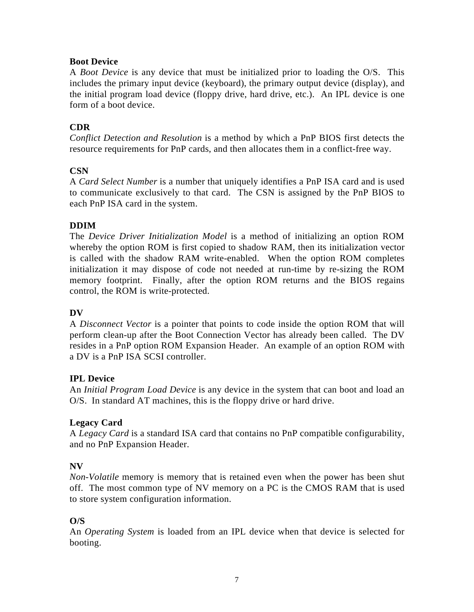## **Boot Device**

A *Boot Device* is any device that must be initialized prior to loading the O/S. This includes the primary input device (keyboard), the primary output device (display), and the initial program load device (floppy drive, hard drive, etc.). An IPL device is one form of a boot device.

# **CDR**

*Conflict Detection and Resolution* is a method by which a PnP BIOS first detects the resource requirements for PnP cards, and then allocates them in a conflict-free way.

## **CSN**

A *Card Select Number* is a number that uniquely identifies a PnP ISA card and is used to communicate exclusively to that card. The CSN is assigned by the PnP BIOS to each PnP ISA card in the system.

# **DDIM**

The *Device Driver Initialization Model* is a method of initializing an option ROM whereby the option ROM is first copied to shadow RAM, then its initialization vector is called with the shadow RAM write-enabled. When the option ROM completes initialization it may dispose of code not needed at run-time by re-sizing the ROM memory footprint. Finally, after the option ROM returns and the BIOS regains control, the ROM is write-protected.

## **DV**

A *Disconnect Vector* is a pointer that points to code inside the option ROM that will perform clean-up after the Boot Connection Vector has already been called. The DV resides in a PnP option ROM Expansion Header. An example of an option ROM with a DV is a PnP ISA SCSI controller.

## **IPL Device**

An *Initial Program Load Device* is any device in the system that can boot and load an O/S. In standard AT machines, this is the floppy drive or hard drive.

# **Legacy Card**

A *Legacy Card* is a standard ISA card that contains no PnP compatible configurability, and no PnP Expansion Header.

## **NV**

*Non-Volatile* memory is memory that is retained even when the power has been shut off. The most common type of NV memory on a PC is the CMOS RAM that is used to store system configuration information.

# **O/S**

An *Operating System* is loaded from an IPL device when that device is selected for booting.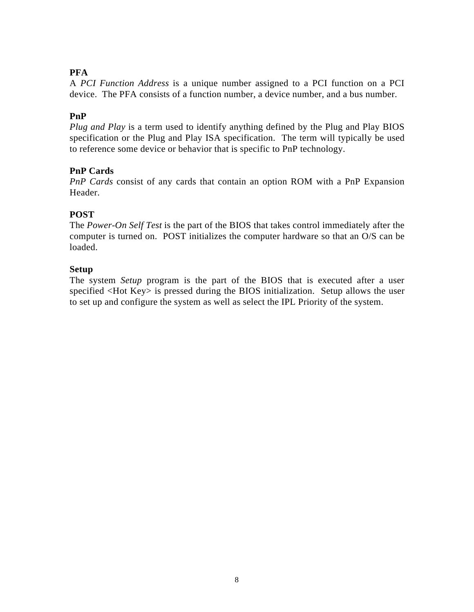# **PFA**

A *PCI Function Address* is a unique number assigned to a PCI function on a PCI device. The PFA consists of a function number, a device number, and a bus number.

# **PnP**

*Plug and Play* is a term used to identify anything defined by the Plug and Play BIOS specification or the Plug and Play ISA specification. The term will typically be used to reference some device or behavior that is specific to PnP technology.

# **PnP Cards**

*PnP Cards* consist of any cards that contain an option ROM with a PnP Expansion Header.

# **POST**

The *Power-On Self Test* is the part of the BIOS that takes control immediately after the computer is turned on. POST initializes the computer hardware so that an O/S can be loaded.

## **Setup**

The system *Setup* program is the part of the BIOS that is executed after a user specified <Hot Key> is pressed during the BIOS initialization. Setup allows the user to set up and configure the system as well as select the IPL Priority of the system.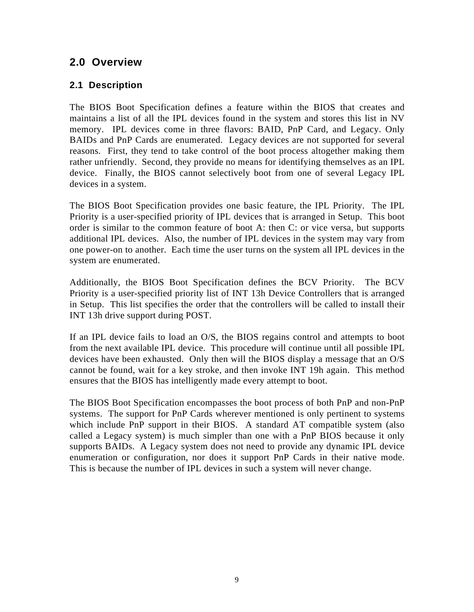# **2.0 Overview**

# **2.1 Description**

The BIOS Boot Specification defines a feature within the BIOS that creates and maintains a list of all the IPL devices found in the system and stores this list in NV memory. IPL devices come in three flavors: BAID, PnP Card, and Legacy. Only BAIDs and PnP Cards are enumerated. Legacy devices are not supported for several reasons. First, they tend to take control of the boot process altogether making them rather unfriendly. Second, they provide no means for identifying themselves as an IPL device. Finally, the BIOS cannot selectively boot from one of several Legacy IPL devices in a system.

The BIOS Boot Specification provides one basic feature, the IPL Priority. The IPL Priority is a user-specified priority of IPL devices that is arranged in Setup. This boot order is similar to the common feature of boot A: then C: or vice versa, but supports additional IPL devices. Also, the number of IPL devices in the system may vary from one power-on to another. Each time the user turns on the system all IPL devices in the system are enumerated.

Additionally, the BIOS Boot Specification defines the BCV Priority. The BCV Priority is a user-specified priority list of INT 13h Device Controllers that is arranged in Setup. This list specifies the order that the controllers will be called to install their INT 13h drive support during POST.

If an IPL device fails to load an O/S, the BIOS regains control and attempts to boot from the next available IPL device. This procedure will continue until all possible IPL devices have been exhausted. Only then will the BIOS display a message that an O/S cannot be found, wait for a key stroke, and then invoke INT 19h again. This method ensures that the BIOS has intelligently made every attempt to boot.

The BIOS Boot Specification encompasses the boot process of both PnP and non-PnP systems. The support for PnP Cards wherever mentioned is only pertinent to systems which include PnP support in their BIOS. A standard AT compatible system (also called a Legacy system) is much simpler than one with a PnP BIOS because it only supports BAIDs. A Legacy system does not need to provide any dynamic IPL device enumeration or configuration, nor does it support PnP Cards in their native mode. This is because the number of IPL devices in such a system will never change.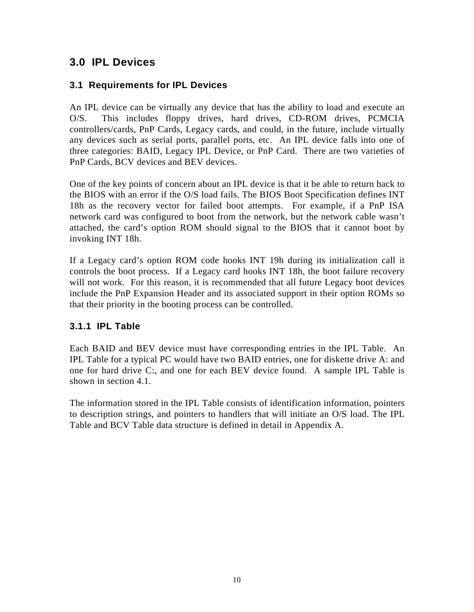# **3.0 IPL Devices**

# **3.1 Requirements for IPL Devices**

An IPL device can be virtually any device that has the ability to load and execute an O/S. This includes floppy drives, hard drives, CD-ROM drives, PCMCIA controllers/cards, PnP Cards, Legacy cards, and could, in the future, include virtually any devices such as serial ports, parallel ports, etc. An IPL device falls into one of three categories: BAID, Legacy IPL Device, or PnP Card. There are two varieties of PnP Cards, BCV devices and BEV devices.

One of the key points of concern about an IPL device is that it be able to return back to the BIOS with an error if the O/S load fails. The BIOS Boot Specification defines INT 18h as the recovery vector for failed boot attempts. For example, if a PnP ISA network card was configured to boot from the network, but the network cable wasn't attached, the card's option ROM should signal to the BIOS that it cannot boot by invoking INT 18h.

If a Legacy card's option ROM code hooks INT 19h during its initialization call it controls the boot process. If a Legacy card hooks INT 18h, the boot failure recovery will not work. For this reason, it is recommended that all future Legacy boot devices include the PnP Expansion Header and its associated support in their option ROMs so that their priority in the booting process can be controlled.

# **3.1.1 IPL Table**

Each BAID and BEV device must have corresponding entries in the IPL Table. An IPL Table for a typical PC would have two BAID entries, one for diskette drive A: and one for hard drive C:, and one for each BEV device found. A sample IPL Table is shown in section 4.1.

The information stored in the IPL Table consists of identification information, pointers to description strings, and pointers to handlers that will initiate an O/S load. The IPL Table and BCV Table data structure is defined in detail in Appendix A.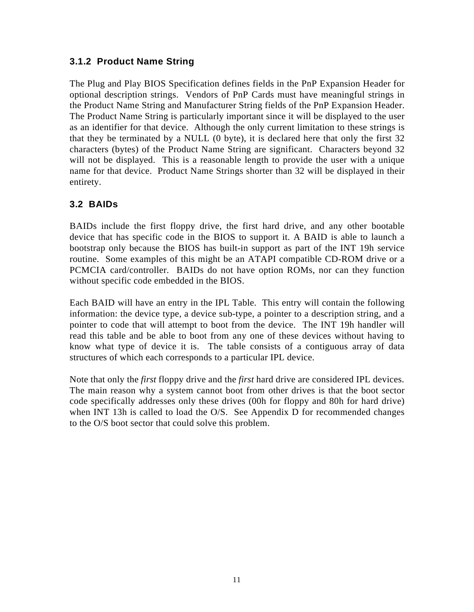# **3.1.2 Product Name String**

The Plug and Play BIOS Specification defines fields in the PnP Expansion Header for optional description strings. Vendors of PnP Cards must have meaningful strings in the Product Name String and Manufacturer String fields of the PnP Expansion Header. The Product Name String is particularly important since it will be displayed to the user as an identifier for that device. Although the only current limitation to these strings is that they be terminated by a NULL (0 byte), it is declared here that only the first 32 characters (bytes) of the Product Name String are significant. Characters beyond 32 will not be displayed. This is a reasonable length to provide the user with a unique name for that device. Product Name Strings shorter than 32 will be displayed in their entirety.

# **3.2 BAIDs**

BAIDs include the first floppy drive, the first hard drive, and any other bootable device that has specific code in the BIOS to support it. A BAID is able to launch a bootstrap only because the BIOS has built-in support as part of the INT 19h service routine. Some examples of this might be an ATAPI compatible CD-ROM drive or a PCMCIA card/controller. BAIDs do not have option ROMs, nor can they function without specific code embedded in the BIOS.

Each BAID will have an entry in the IPL Table. This entry will contain the following information: the device type, a device sub-type, a pointer to a description string, and a pointer to code that will attempt to boot from the device. The INT 19h handler will read this table and be able to boot from any one of these devices without having to know what type of device it is. The table consists of a contiguous array of data structures of which each corresponds to a particular IPL device.

Note that only the *first* floppy drive and the *first* hard drive are considered IPL devices. The main reason why a system cannot boot from other drives is that the boot sector code specifically addresses only these drives (00h for floppy and 80h for hard drive) when INT 13h is called to load the O/S. See Appendix D for recommended changes to the O/S boot sector that could solve this problem.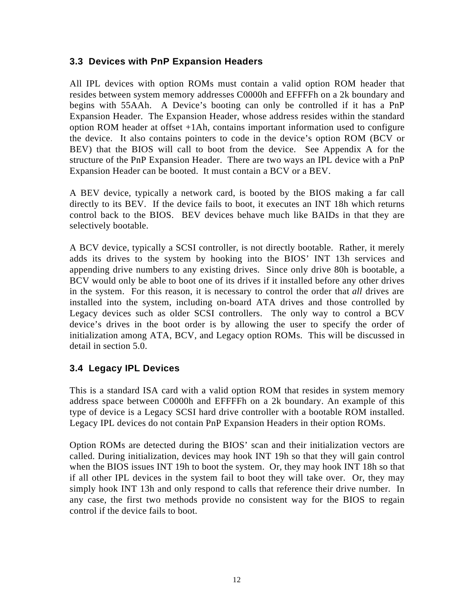# **3.3 Devices with PnP Expansion Headers**

All IPL devices with option ROMs must contain a valid option ROM header that resides between system memory addresses C0000h and EFFFFh on a 2k boundary and begins with 55AAh. A Device's booting can only be controlled if it has a PnP Expansion Header. The Expansion Header, whose address resides within the standard option ROM header at offset +1Ah, contains important information used to configure the device. It also contains pointers to code in the device's option ROM (BCV or BEV) that the BIOS will call to boot from the device. See Appendix A for the structure of the PnP Expansion Header. There are two ways an IPL device with a PnP Expansion Header can be booted. It must contain a BCV or a BEV.

A BEV device, typically a network card, is booted by the BIOS making a far call directly to its BEV. If the device fails to boot, it executes an INT 18h which returns control back to the BIOS. BEV devices behave much like BAIDs in that they are selectively bootable.

A BCV device, typically a SCSI controller, is not directly bootable. Rather, it merely adds its drives to the system by hooking into the BIOS' INT 13h services and appending drive numbers to any existing drives. Since only drive 80h is bootable, a BCV would only be able to boot one of its drives if it installed before any other drives in the system. For this reason, it is necessary to control the order that *all* drives are installed into the system, including on-board ATA drives and those controlled by Legacy devices such as older SCSI controllers. The only way to control a BCV device's drives in the boot order is by allowing the user to specify the order of initialization among ATA, BCV, and Legacy option ROMs. This will be discussed in detail in section 5.0.

## **3.4 Legacy IPL Devices**

This is a standard ISA card with a valid option ROM that resides in system memory address space between C0000h and EFFFFh on a 2k boundary. An example of this type of device is a Legacy SCSI hard drive controller with a bootable ROM installed. Legacy IPL devices do not contain PnP Expansion Headers in their option ROMs.

Option ROMs are detected during the BIOS' scan and their initialization vectors are called. During initialization, devices may hook INT 19h so that they will gain control when the BIOS issues INT 19h to boot the system. Or, they may hook INT 18h so that if all other IPL devices in the system fail to boot they will take over. Or, they may simply hook INT 13h and only respond to calls that reference their drive number. In any case, the first two methods provide no consistent way for the BIOS to regain control if the device fails to boot.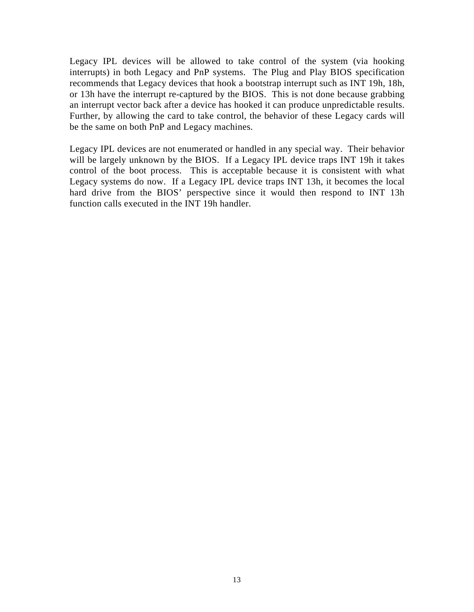Legacy IPL devices will be allowed to take control of the system (via hooking interrupts) in both Legacy and PnP systems. The Plug and Play BIOS specification recommends that Legacy devices that hook a bootstrap interrupt such as INT 19h, 18h, or 13h have the interrupt re-captured by the BIOS. This is not done because grabbing an interrupt vector back after a device has hooked it can produce unpredictable results. Further, by allowing the card to take control, the behavior of these Legacy cards will be the same on both PnP and Legacy machines.

Legacy IPL devices are not enumerated or handled in any special way. Their behavior will be largely unknown by the BIOS. If a Legacy IPL device traps INT 19h it takes control of the boot process. This is acceptable because it is consistent with what Legacy systems do now. If a Legacy IPL device traps INT 13h, it becomes the local hard drive from the BIOS' perspective since it would then respond to INT 13h function calls executed in the INT 19h handler.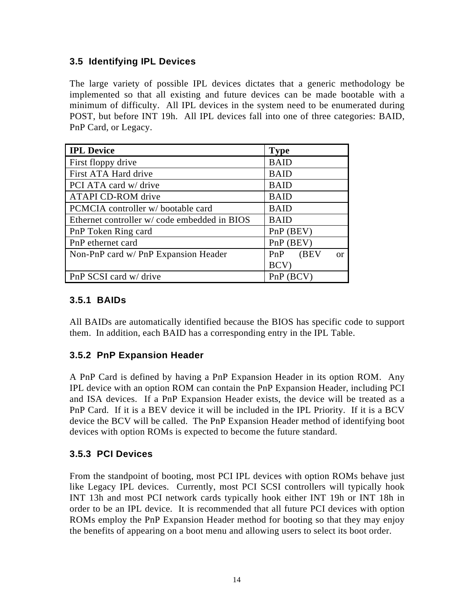# **3.5 Identifying IPL Devices**

The large variety of possible IPL devices dictates that a generic methodology be implemented so that all existing and future devices can be made bootable with a minimum of difficulty. All IPL devices in the system need to be enumerated during POST, but before INT 19h. All IPL devices fall into one of three categories: BAID, PnP Card, or Legacy.

| <b>IPL Device</b>                            | <b>Type</b>          |
|----------------------------------------------|----------------------|
| First floppy drive                           | <b>BAID</b>          |
| First ATA Hard drive                         | <b>BAID</b>          |
| PCI ATA card w/ drive                        | <b>BAID</b>          |
| <b>ATAPI CD-ROM</b> drive                    | <b>BAID</b>          |
| PCMCIA controller w/bootable card            | <b>BAID</b>          |
| Ethernet controller w/ code embedded in BIOS | <b>BAID</b>          |
| PnP Token Ring card                          | PnP (BEV)            |
| PnP ethernet card                            | PnP (BEV)            |
| Non-PnP card w/ PnP Expansion Header         | PnP (BEV<br>$\alpha$ |
|                                              | BCV)                 |
| PnP SCSI card w/ drive                       | PnP(BCV)             |

# **3.5.1 BAIDs**

All BAIDs are automatically identified because the BIOS has specific code to support them. In addition, each BAID has a corresponding entry in the IPL Table.

# **3.5.2 PnP Expansion Header**

A PnP Card is defined by having a PnP Expansion Header in its option ROM. Any IPL device with an option ROM can contain the PnP Expansion Header, including PCI and ISA devices. If a PnP Expansion Header exists, the device will be treated as a PnP Card. If it is a BEV device it will be included in the IPL Priority. If it is a BCV device the BCV will be called. The PnP Expansion Header method of identifying boot devices with option ROMs is expected to become the future standard.

# **3.5.3 PCI Devices**

From the standpoint of booting, most PCI IPL devices with option ROMs behave just like Legacy IPL devices. Currently, most PCI SCSI controllers will typically hook INT 13h and most PCI network cards typically hook either INT 19h or INT 18h in order to be an IPL device. It is recommended that all future PCI devices with option ROMs employ the PnP Expansion Header method for booting so that they may enjoy the benefits of appearing on a boot menu and allowing users to select its boot order.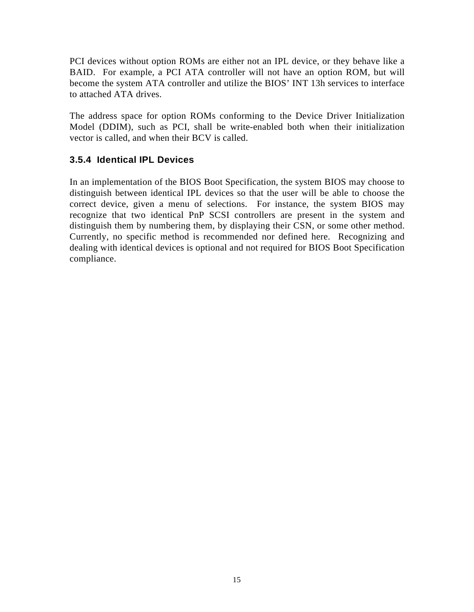PCI devices without option ROMs are either not an IPL device, or they behave like a BAID. For example, a PCI ATA controller will not have an option ROM, but will become the system ATA controller and utilize the BIOS' INT 13h services to interface to attached ATA drives.

The address space for option ROMs conforming to the Device Driver Initialization Model (DDIM), such as PCI, shall be write-enabled both when their initialization vector is called, and when their BCV is called.

# **3.5.4 Identical IPL Devices**

In an implementation of the BIOS Boot Specification, the system BIOS may choose to distinguish between identical IPL devices so that the user will be able to choose the correct device, given a menu of selections. For instance, the system BIOS may recognize that two identical PnP SCSI controllers are present in the system and distinguish them by numbering them, by displaying their CSN, or some other method. Currently, no specific method is recommended nor defined here. Recognizing and dealing with identical devices is optional and not required for BIOS Boot Specification compliance.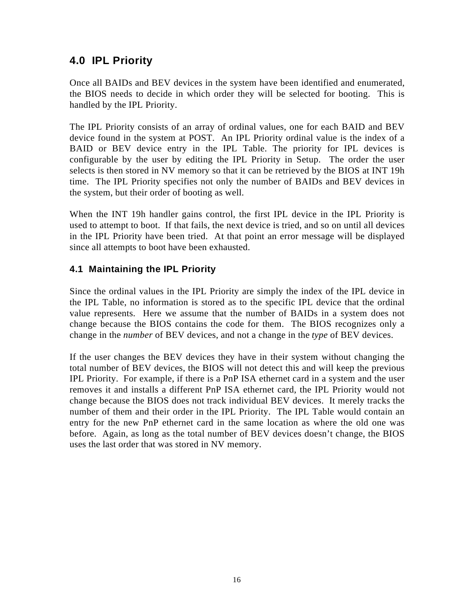# **4.0 IPL Priority**

Once all BAIDs and BEV devices in the system have been identified and enumerated, the BIOS needs to decide in which order they will be selected for booting. This is handled by the IPL Priority.

The IPL Priority consists of an array of ordinal values, one for each BAID and BEV device found in the system at POST. An IPL Priority ordinal value is the index of a BAID or BEV device entry in the IPL Table. The priority for IPL devices is configurable by the user by editing the IPL Priority in Setup. The order the user selects is then stored in NV memory so that it can be retrieved by the BIOS at INT 19h time. The IPL Priority specifies not only the number of BAIDs and BEV devices in the system, but their order of booting as well.

When the INT 19h handler gains control, the first IPL device in the IPL Priority is used to attempt to boot. If that fails, the next device is tried, and so on until all devices in the IPL Priority have been tried. At that point an error message will be displayed since all attempts to boot have been exhausted.

# **4.1 Maintaining the IPL Priority**

Since the ordinal values in the IPL Priority are simply the index of the IPL device in the IPL Table, no information is stored as to the specific IPL device that the ordinal value represents. Here we assume that the number of BAIDs in a system does not change because the BIOS contains the code for them. The BIOS recognizes only a change in the *number* of BEV devices, and not a change in the *type* of BEV devices.

If the user changes the BEV devices they have in their system without changing the total number of BEV devices, the BIOS will not detect this and will keep the previous IPL Priority. For example, if there is a PnP ISA ethernet card in a system and the user removes it and installs a different PnP ISA ethernet card, the IPL Priority would not change because the BIOS does not track individual BEV devices. It merely tracks the number of them and their order in the IPL Priority. The IPL Table would contain an entry for the new PnP ethernet card in the same location as where the old one was before. Again, as long as the total number of BEV devices doesn't change, the BIOS uses the last order that was stored in NV memory.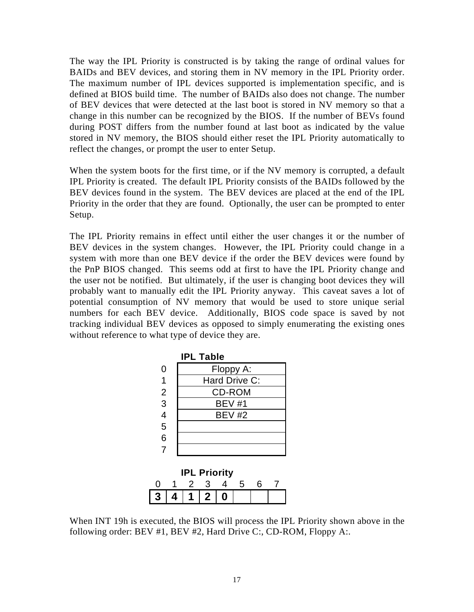The way the IPL Priority is constructed is by taking the range of ordinal values for BAIDs and BEV devices, and storing them in NV memory in the IPL Priority order. The maximum number of IPL devices supported is implementation specific, and is defined at BIOS build time. The number of BAIDs also does not change. The number of BEV devices that were detected at the last boot is stored in NV memory so that a change in this number can be recognized by the BIOS. If the number of BEVs found during POST differs from the number found at last boot as indicated by the value stored in NV memory, the BIOS should either reset the IPL Priority automatically to reflect the changes, or prompt the user to enter Setup.

When the system boots for the first time, or if the NV memory is corrupted, a default IPL Priority is created. The default IPL Priority consists of the BAIDs followed by the BEV devices found in the system. The BEV devices are placed at the end of the IPL Priority in the order that they are found. Optionally, the user can be prompted to enter Setup.

The IPL Priority remains in effect until either the user changes it or the number of BEV devices in the system changes. However, the IPL Priority could change in a system with more than one BEV device if the order the BEV devices were found by the PnP BIOS changed. This seems odd at first to have the IPL Priority change and the user not be notified. But ultimately, if the user is changing boot devices they will probably want to manually edit the IPL Priority anyway. This caveat saves a lot of potential consumption of NV memory that would be used to store unique serial numbers for each BEV device. Additionally, BIOS code space is saved by not tracking individual BEV devices as opposed to simply enumerating the existing ones without reference to what type of device they are.

|                | <b>IPL Table</b>    |
|----------------|---------------------|
| 0              | Floppy A:           |
| 1              | Hard Drive C:       |
| $\overline{2}$ | <b>CD-ROM</b>       |
| $\overline{3}$ | <b>BEV #1</b>       |
| $\frac{1}{4}$  | <b>BEV #2</b>       |
| $\overline{5}$ |                     |
| 6              |                     |
| $\overline{7}$ |                     |
|                | <b>IPL Priority</b> |

|               | $\cdot$ | . |  |  |
|---------------|---------|---|--|--|
| 3   4   1   2 |         |   |  |  |

When INT 19h is executed, the BIOS will process the IPL Priority shown above in the following order: BEV #1, BEV #2, Hard Drive C:, CD-ROM, Floppy A:.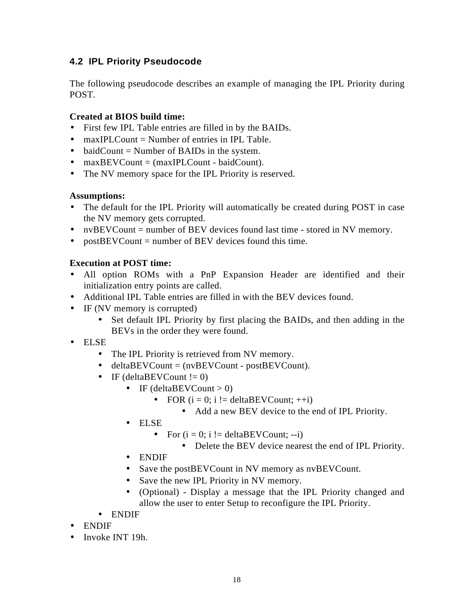# **4.2 IPL Priority Pseudocode**

The following pseudocode describes an example of managing the IPL Priority during POST.

## **Created at BIOS build time:**

- First few IPL Table entries are filled in by the BAIDs.
- maxIPLCount = Number of entries in IPL Table.
- baidCount  $=$  Number of BAIDs in the system.
- $maxBEVCount = (maxIPLCount baidCount)$ .
- The NV memory space for the IPL Priority is reserved.

## **Assumptions:**

- The default for the IPL Priority will automatically be created during POST in case the NV memory gets corrupted.
- nvBEVCount = number of BEV devices found last time stored in NV memory.
- postBEVCount = number of BEV devices found this time.

# **Execution at POST time:**

- All option ROMs with a PnP Expansion Header are identified and their initialization entry points are called.
- Additional IPL Table entries are filled in with the BEV devices found.
- IF (NV memory is corrupted)
	- Set default IPL Priority by first placing the BAIDs, and then adding in the BEVs in the order they were found.
- ELSE
	- The IPL Priority is retrieved from NV memory.
	- deltaBEVCount = (nvBEVCount postBEVCount).
	- IF (deltaBEVCount  $!= 0$ )
		- IF (deltaBEVCount  $> 0$ )
			- FOR  $(i = 0; i != deltaBEVCount; ++i)$ 
				- Add a new BEV device to the end of IPL Priority.
		- ELSE
			- For  $(i = 0; i != deltaBEVCount; -i)$ 
				- Delete the BEV device nearest the end of IPL Priority.
		- ENDIF
		- Save the postBEVCount in NV memory as nvBEVCount.
		- Save the new IPL Priority in NV memory.
		- (Optional) Display a message that the IPL Priority changed and allow the user to enter Setup to reconfigure the IPL Priority.
	- ENDIF
- ENDIF
- Invoke INT 19h.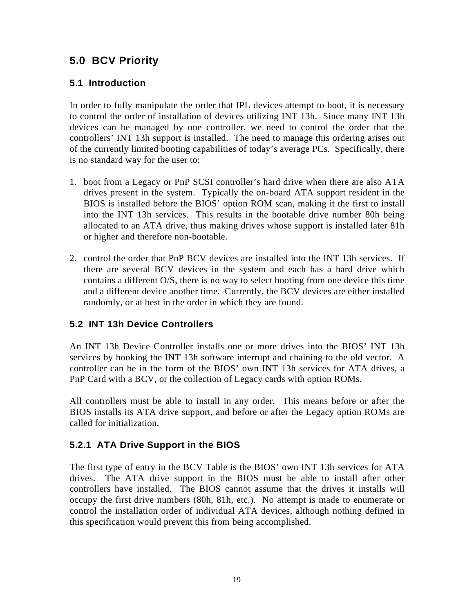# **5.0 BCV Priority**

# **5.1 Introduction**

In order to fully manipulate the order that IPL devices attempt to boot, it is necessary to control the order of installation of devices utilizing INT 13h. Since many INT 13h devices can be managed by one controller, we need to control the order that the controllers' INT 13h support is installed. The need to manage this ordering arises out of the currently limited booting capabilities of today's average PCs. Specifically, there is no standard way for the user to:

- 1. boot from a Legacy or PnP SCSI controller's hard drive when there are also ATA drives present in the system. Typically the on-board ATA support resident in the BIOS is installed before the BIOS' option ROM scan, making it the first to install into the INT 13h services. This results in the bootable drive number 80h being allocated to an ATA drive, thus making drives whose support is installed later 81h or higher and therefore non-bootable.
- 2. control the order that PnP BCV devices are installed into the INT 13h services. If there are several BCV devices in the system and each has a hard drive which contains a different O/S, there is no way to select booting from one device this time and a different device another time. Currently, the BCV devices are either installed randomly, or at best in the order in which they are found.

# **5.2 INT 13h Device Controllers**

An INT 13h Device Controller installs one or more drives into the BIOS' INT 13h services by hooking the INT 13h software interrupt and chaining to the old vector. A controller can be in the form of the BIOS' own INT 13h services for ATA drives, a PnP Card with a BCV, or the collection of Legacy cards with option ROMs.

All controllers must be able to install in any order. This means before or after the BIOS installs its ATA drive support, and before or after the Legacy option ROMs are called for initialization.

# **5.2.1 ATA Drive Support in the BIOS**

The first type of entry in the BCV Table is the BIOS' own INT 13h services for ATA drives. The ATA drive support in the BIOS must be able to install after other controllers have installed. The BIOS cannot assume that the drives it installs will occupy the first drive numbers (80h, 81h, etc.). No attempt is made to enumerate or control the installation order of individual ATA devices, although nothing defined in this specification would prevent this from being accomplished.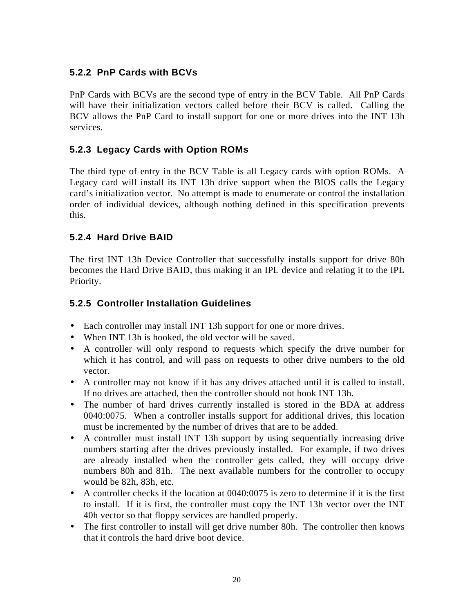# **5.2.2 PnP Cards with BCVs**

PnP Cards with BCVs are the second type of entry in the BCV Table. All PnP Cards will have their initialization vectors called before their BCV is called. Calling the BCV allows the PnP Card to install support for one or more drives into the INT 13h services.

# **5.2.3 Legacy Cards with Option ROMs**

The third type of entry in the BCV Table is all Legacy cards with option ROMs. A Legacy card will install its INT 13h drive support when the BIOS calls the Legacy card's initialization vector. No attempt is made to enumerate or control the installation order of individual devices, although nothing defined in this specification prevents this.

# **5.2.4 Hard Drive BAID**

The first INT 13h Device Controller that successfully installs support for drive 80h becomes the Hard Drive BAID, thus making it an IPL device and relating it to the IPL Priority.

# **5.2.5 Controller Installation Guidelines**

- Each controller may install INT 13h support for one or more drives.
- When INT 13h is hooked, the old vector will be saved.
- A controller will only respond to requests which specify the drive number for which it has control, and will pass on requests to other drive numbers to the old vector.
- A controller may not know if it has any drives attached until it is called to install. If no drives are attached, then the controller should not hook INT 13h.
- The number of hard drives currently installed is stored in the BDA at address 0040:0075. When a controller installs support for additional drives, this location must be incremented by the number of drives that are to be added.
- A controller must install INT 13h support by using sequentially increasing drive numbers starting after the drives previously installed. For example, if two drives are already installed when the controller gets called, they will occupy drive numbers 80h and 81h. The next available numbers for the controller to occupy would be 82h, 83h, etc.
- A controller checks if the location at 0040:0075 is zero to determine if it is the first to install. If it is first, the controller must copy the INT 13h vector over the INT 40h vector so that floppy services are handled properly.
- The first controller to install will get drive number 80h. The controller then knows that it controls the hard drive boot device.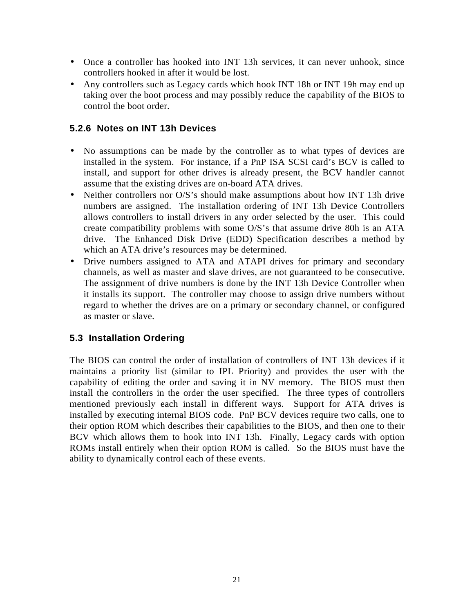- Once a controller has hooked into INT 13h services, it can never unhook, since controllers hooked in after it would be lost.
- Any controllers such as Legacy cards which hook INT 18h or INT 19h may end up taking over the boot process and may possibly reduce the capability of the BIOS to control the boot order.

# **5.2.6 Notes on INT 13h Devices**

- No assumptions can be made by the controller as to what types of devices are installed in the system. For instance, if a PnP ISA SCSI card's BCV is called to install, and support for other drives is already present, the BCV handler cannot assume that the existing drives are on-board ATA drives.
- Neither controllers nor O/S's should make assumptions about how INT 13h drive numbers are assigned. The installation ordering of INT 13h Device Controllers allows controllers to install drivers in any order selected by the user. This could create compatibility problems with some O/S's that assume drive 80h is an ATA drive. The Enhanced Disk Drive (EDD) Specification describes a method by which an ATA drive's resources may be determined.
- Drive numbers assigned to ATA and ATAPI drives for primary and secondary channels, as well as master and slave drives, are not guaranteed to be consecutive. The assignment of drive numbers is done by the INT 13h Device Controller when it installs its support. The controller may choose to assign drive numbers without regard to whether the drives are on a primary or secondary channel, or configured as master or slave.

# **5.3 Installation Ordering**

The BIOS can control the order of installation of controllers of INT 13h devices if it maintains a priority list (similar to IPL Priority) and provides the user with the capability of editing the order and saving it in NV memory. The BIOS must then install the controllers in the order the user specified. The three types of controllers mentioned previously each install in different ways. Support for ATA drives is installed by executing internal BIOS code. PnP BCV devices require two calls, one to their option ROM which describes their capabilities to the BIOS, and then one to their BCV which allows them to hook into INT 13h. Finally, Legacy cards with option ROMs install entirely when their option ROM is called. So the BIOS must have the ability to dynamically control each of these events.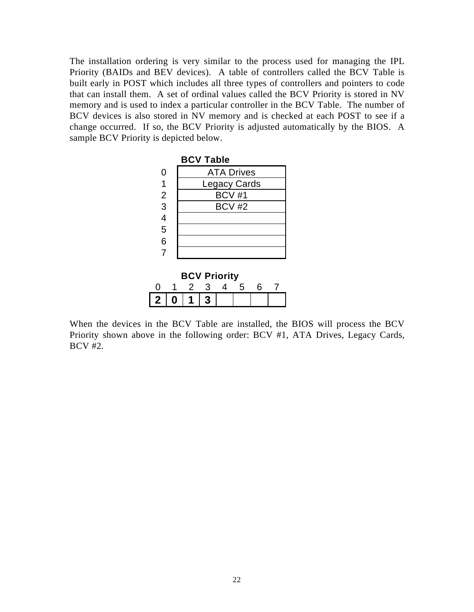The installation ordering is very similar to the process used for managing the IPL Priority (BAIDs and BEV devices). A table of controllers called the BCV Table is built early in POST which includes all three types of controllers and pointers to code that can install them. A set of ordinal values called the BCV Priority is stored in NV memory and is used to index a particular controller in the BCV Table. The number of BCV devices is also stored in NV memory and is checked at each POST to see if a change occurred. If so, the BCV Priority is adjusted automatically by the BIOS. A sample BCV Priority is depicted below.



| <b>BCV Priority</b> |  |       |    |  |  |  |
|---------------------|--|-------|----|--|--|--|
|                     |  |       | -3 |  |  |  |
| 2 <sub>1</sub>      |  | 0   1 |    |  |  |  |

When the devices in the BCV Table are installed, the BIOS will process the BCV Priority shown above in the following order: BCV #1, ATA Drives, Legacy Cards, BCV #2.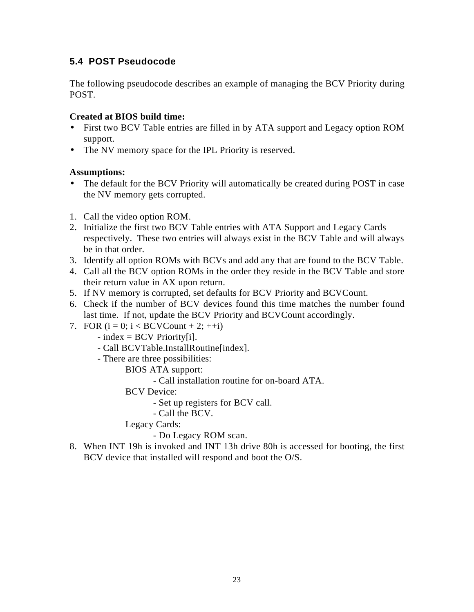# **5.4 POST Pseudocode**

The following pseudocode describes an example of managing the BCV Priority during POST.

## **Created at BIOS build time:**

- First two BCV Table entries are filled in by ATA support and Legacy option ROM support.
- The NV memory space for the IPL Priority is reserved.

# **Assumptions:**

- The default for the BCV Priority will automatically be created during POST in case the NV memory gets corrupted.
- 1. Call the video option ROM.
- 2. Initialize the first two BCV Table entries with ATA Support and Legacy Cards respectively. These two entries will always exist in the BCV Table and will always be in that order.
- 3. Identify all option ROMs with BCVs and add any that are found to the BCV Table.
- 4. Call all the BCV option ROMs in the order they reside in the BCV Table and store their return value in AX upon return.
- 5. If NV memory is corrupted, set defaults for BCV Priority and BCVCount.
- 6. Check if the number of BCV devices found this time matches the number found last time. If not, update the BCV Priority and BCVCount accordingly.
- 7. FOR  $(i = 0; i < BCVC$ ount + 2; ++i)
	- $-$  index = BCV Priority[i].
	- Call BCVTable.InstallRoutine[index].
	- There are three possibilities:
		- BIOS ATA support:
			- Call installation routine for on-board ATA.

BCV Device:

- Set up registers for BCV call.
- Call the BCV.

Legacy Cards:

- Do Legacy ROM scan.

8. When INT 19h is invoked and INT 13h drive 80h is accessed for booting, the first BCV device that installed will respond and boot the O/S.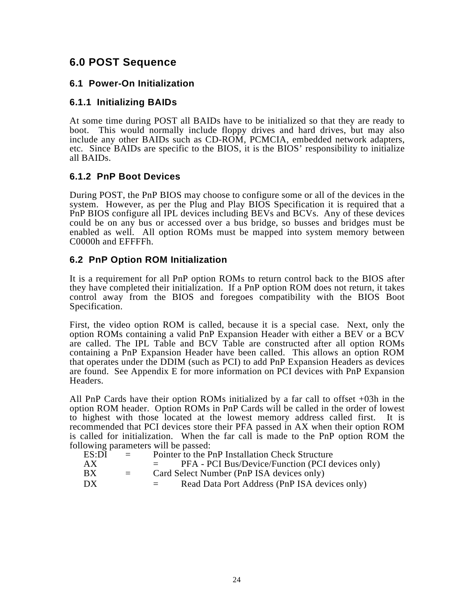# **6.0 POST Sequence**

## **6.1 Power-On Initialization**

# **6.1.1 Initializing BAIDs**

At some time during POST all BAIDs have to be initialized so that they are ready to boot. This would normally include floppy drives and hard drives, but may also include any other BAIDs such as CD-ROM, PCMCIA, embedded network adapters, etc. Since BAIDs are specific to the BIOS, it is the BIOS' responsibility to initialize all BAIDs.

## **6.1.2 PnP Boot Devices**

During POST, the PnP BIOS may choose to configure some or all of the devices in the system. However, as per the Plug and Play BIOS Specification it is required that a PnP BIOS configure all IPL devices including BEVs and BCVs. Any of these devices could be on any bus or accessed over a bus bridge, so busses and bridges must be enabled as well. All option ROMs must be mapped into system memory between C0000h and EFFFFh.

# **6.2 PnP Option ROM Initialization**

It is a requirement for all PnP option ROMs to return control back to the BIOS after they have completed their initialization. If a PnP option ROM does not return, it takes control away from the BIOS and foregoes compatibility with the BIOS Boot Specification.

First, the video option ROM is called, because it is a special case. Next, only the option ROMs containing a valid PnP Expansion Header with either a BEV or a BCV are called. The IPL Table and BCV Table are constructed after all option ROMs containing a PnP Expansion Header have been called. This allows an option ROM that operates under the DDIM (such as PCI) to add PnP Expansion Headers as devices are found. See Appendix E for more information on PCI devices with PnP Expansion Headers.

All PnP Cards have their option ROMs initialized by a far call to offset +03h in the option ROM header. Option ROMs in PnP Cards will be called in the order of lowest to highest with those located at the lowest memory address called first. It is recommended that PCI devices store their PFA passed in AX when their option ROM is called for initialization. When the far call is made to the PnP option ROM the following parameters will be passed:

| ES:DI | $=$ | Pointer to the PnP Installation Check Structure          |
|-------|-----|----------------------------------------------------------|
| AX    |     | PFA - PCI Bus/Device/Function (PCI devices only)         |
| BX.   | $=$ | Card Select Number (PnP ISA devices only)                |
| DX    |     | Read Data Port Address (PnP ISA devices only)<br>$=$ $-$ |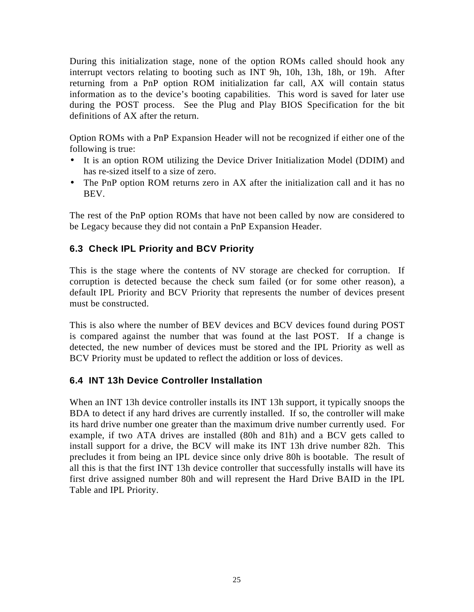During this initialization stage, none of the option ROMs called should hook any interrupt vectors relating to booting such as INT 9h, 10h, 13h, 18h, or 19h. After returning from a PnP option ROM initialization far call, AX will contain status information as to the device's booting capabilities. This word is saved for later use during the POST process. See the Plug and Play BIOS Specification for the bit definitions of AX after the return.

Option ROMs with a PnP Expansion Header will not be recognized if either one of the following is true:

- It is an option ROM utilizing the Device Driver Initialization Model (DDIM) and has re-sized itself to a size of zero.
- The PnP option ROM returns zero in AX after the initialization call and it has no BEV.

The rest of the PnP option ROMs that have not been called by now are considered to be Legacy because they did not contain a PnP Expansion Header.

# **6.3 Check IPL Priority and BCV Priority**

This is the stage where the contents of NV storage are checked for corruption. If corruption is detected because the check sum failed (or for some other reason), a default IPL Priority and BCV Priority that represents the number of devices present must be constructed.

This is also where the number of BEV devices and BCV devices found during POST is compared against the number that was found at the last POST. If a change is detected, the new number of devices must be stored and the IPL Priority as well as BCV Priority must be updated to reflect the addition or loss of devices.

# **6.4 INT 13h Device Controller Installation**

When an INT 13h device controller installs its INT 13h support, it typically snoops the BDA to detect if any hard drives are currently installed. If so, the controller will make its hard drive number one greater than the maximum drive number currently used. For example, if two ATA drives are installed (80h and 81h) and a BCV gets called to install support for a drive, the BCV will make its INT 13h drive number 82h. This precludes it from being an IPL device since only drive 80h is bootable. The result of all this is that the first INT 13h device controller that successfully installs will have its first drive assigned number 80h and will represent the Hard Drive BAID in the IPL Table and IPL Priority.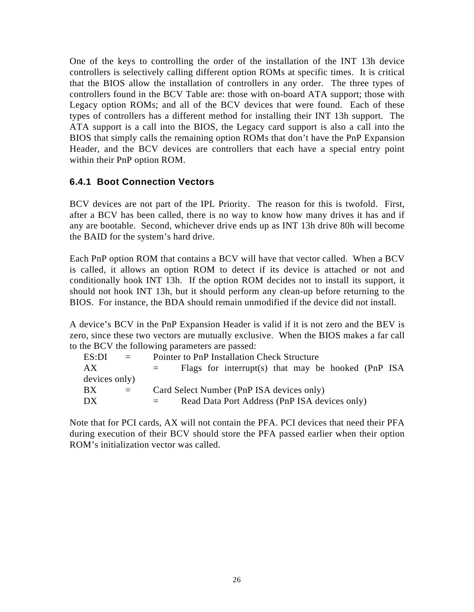One of the keys to controlling the order of the installation of the INT 13h device controllers is selectively calling different option ROMs at specific times. It is critical that the BIOS allow the installation of controllers in any order. The three types of controllers found in the BCV Table are: those with on-board ATA support; those with Legacy option ROMs; and all of the BCV devices that were found. Each of these types of controllers has a different method for installing their INT 13h support. The ATA support is a call into the BIOS, the Legacy card support is also a call into the BIOS that simply calls the remaining option ROMs that don't have the PnP Expansion Header, and the BCV devices are controllers that each have a special entry point within their PnP option ROM.

# **6.4.1 Boot Connection Vectors**

BCV devices are not part of the IPL Priority. The reason for this is twofold. First, after a BCV has been called, there is no way to know how many drives it has and if any are bootable. Second, whichever drive ends up as INT 13h drive 80h will become the BAID for the system's hard drive.

Each PnP option ROM that contains a BCV will have that vector called. When a BCV is called, it allows an option ROM to detect if its device is attached or not and conditionally hook INT 13h. If the option ROM decides not to install its support, it should not hook INT 13h, but it should perform any clean-up before returning to the BIOS. For instance, the BDA should remain unmodified if the device did not install.

A device's BCV in the PnP Expansion Header is valid if it is not zero and the BEV is zero, since these two vectors are mutually exclusive. When the BIOS makes a far call to the BCV the following parameters are passed:

| ES:DI         | $\equiv$ | Pointer to PnP Installation Check Structure               |
|---------------|----------|-----------------------------------------------------------|
| АX            |          | Flags for interrupt(s) that may be hooked (PnP ISA<br>$=$ |
| devices only) |          |                                                           |
| BX            | $=$      | Card Select Number (PnP ISA devices only)                 |
| DX            |          | Read Data Port Address (PnP ISA devices only)             |
|               |          |                                                           |

Note that for PCI cards, AX will not contain the PFA. PCI devices that need their PFA during execution of their BCV should store the PFA passed earlier when their option ROM's initialization vector was called.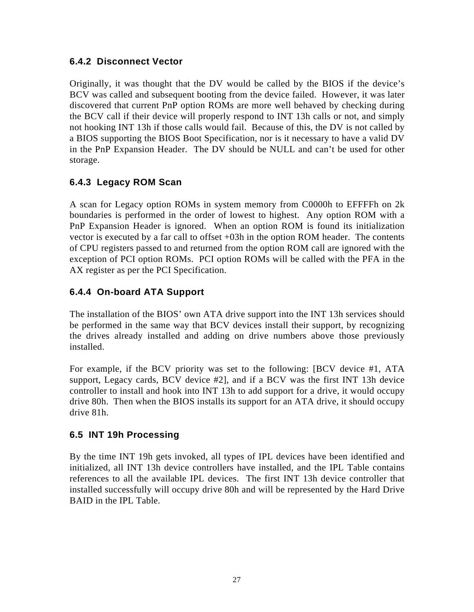# **6.4.2 Disconnect Vector**

Originally, it was thought that the DV would be called by the BIOS if the device's BCV was called and subsequent booting from the device failed. However, it was later discovered that current PnP option ROMs are more well behaved by checking during the BCV call if their device will properly respond to INT 13h calls or not, and simply not hooking INT 13h if those calls would fail. Because of this, the DV is not called by a BIOS supporting the BIOS Boot Specification, nor is it necessary to have a valid DV in the PnP Expansion Header. The DV should be NULL and can't be used for other storage.

# **6.4.3 Legacy ROM Scan**

A scan for Legacy option ROMs in system memory from C0000h to EFFFFh on 2k boundaries is performed in the order of lowest to highest. Any option ROM with a PnP Expansion Header is ignored. When an option ROM is found its initialization vector is executed by a far call to offset +03h in the option ROM header. The contents of CPU registers passed to and returned from the option ROM call are ignored with the exception of PCI option ROMs. PCI option ROMs will be called with the PFA in the AX register as per the PCI Specification.

# **6.4.4 On-board ATA Support**

The installation of the BIOS' own ATA drive support into the INT 13h services should be performed in the same way that BCV devices install their support, by recognizing the drives already installed and adding on drive numbers above those previously installed.

For example, if the BCV priority was set to the following: [BCV device #1, ATA support, Legacy cards, BCV device #2], and if a BCV was the first INT 13h device controller to install and hook into INT 13h to add support for a drive, it would occupy drive 80h. Then when the BIOS installs its support for an ATA drive, it should occupy drive 81h.

# **6.5 INT 19h Processing**

By the time INT 19h gets invoked, all types of IPL devices have been identified and initialized, all INT 13h device controllers have installed, and the IPL Table contains references to all the available IPL devices. The first INT 13h device controller that installed successfully will occupy drive 80h and will be represented by the Hard Drive BAID in the IPL Table.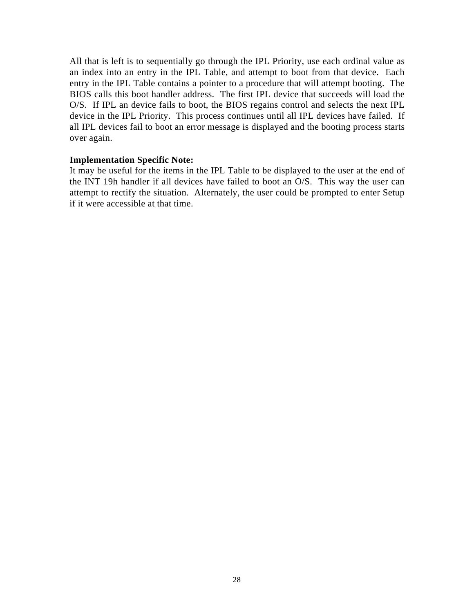All that is left is to sequentially go through the IPL Priority, use each ordinal value as an index into an entry in the IPL Table, and attempt to boot from that device. Each entry in the IPL Table contains a pointer to a procedure that will attempt booting. The BIOS calls this boot handler address. The first IPL device that succeeds will load the O/S. If IPL an device fails to boot, the BIOS regains control and selects the next IPL device in the IPL Priority. This process continues until all IPL devices have failed. If all IPL devices fail to boot an error message is displayed and the booting process starts over again.

### **Implementation Specific Note:**

It may be useful for the items in the IPL Table to be displayed to the user at the end of the INT 19h handler if all devices have failed to boot an O/S. This way the user can attempt to rectify the situation. Alternately, the user could be prompted to enter Setup if it were accessible at that time.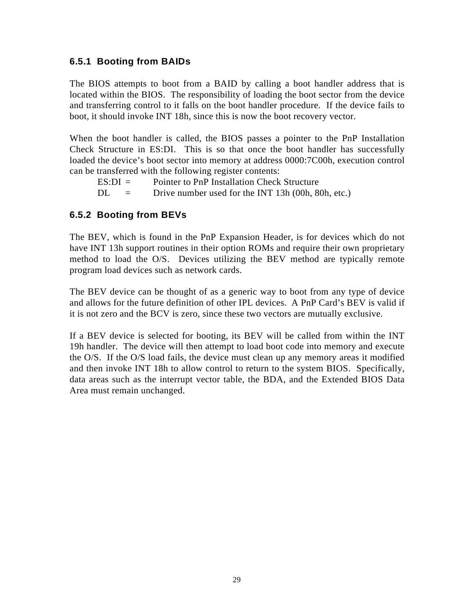# **6.5.1 Booting from BAIDs**

The BIOS attempts to boot from a BAID by calling a boot handler address that is located within the BIOS. The responsibility of loading the boot sector from the device and transferring control to it falls on the boot handler procedure. If the device fails to boot, it should invoke INT 18h, since this is now the boot recovery vector.

When the boot handler is called, the BIOS passes a pointer to the PnP Installation Check Structure in ES:DI. This is so that once the boot handler has successfully loaded the device's boot sector into memory at address 0000:7C00h, execution control can be transferred with the following register contents:

 $ES:DI =$  Pointer to PnP Installation Check Structure  $DL =$  Drive number used for the INT 13h (00h, 80h, etc.)

# **6.5.2 Booting from BEVs**

The BEV, which is found in the PnP Expansion Header, is for devices which do not have INT 13h support routines in their option ROMs and require their own proprietary method to load the O/S. Devices utilizing the BEV method are typically remote program load devices such as network cards.

The BEV device can be thought of as a generic way to boot from any type of device and allows for the future definition of other IPL devices. A PnP Card's BEV is valid if it is not zero and the BCV is zero, since these two vectors are mutually exclusive.

If a BEV device is selected for booting, its BEV will be called from within the INT 19h handler. The device will then attempt to load boot code into memory and execute the O/S. If the O/S load fails, the device must clean up any memory areas it modified and then invoke INT 18h to allow control to return to the system BIOS. Specifically, data areas such as the interrupt vector table, the BDA, and the Extended BIOS Data Area must remain unchanged.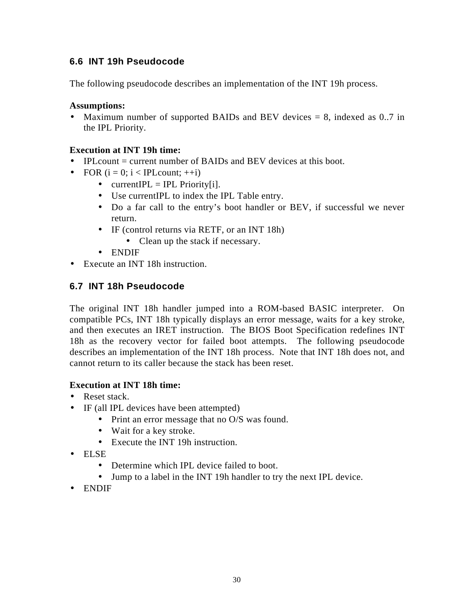# **6.6 INT 19h Pseudocode**

The following pseudocode describes an implementation of the INT 19h process.

## **Assumptions:**

• Maximum number of supported BAIDs and BEV devices  $= 8$ , indexed as 0..7 in the IPL Priority.

## **Execution at INT 19h time:**

- IPL count = current number of BAIDs and BEV devices at this boot.
- FOR  $(i = 0; i < IPLcount; ++i)$ 
	- currentIPL = IPL Priority[i].
	- Use currentIPL to index the IPL Table entry.
	- Do a far call to the entry's boot handler or BEV, if successful we never return.
	- IF (control returns via RETF, or an INT 18h) • Clean up the stack if necessary.
	- ENDIF
- Execute an INT 18h instruction.

# **6.7 INT 18h Pseudocode**

The original INT 18h handler jumped into a ROM-based BASIC interpreter. On compatible PCs, INT 18h typically displays an error message, waits for a key stroke, and then executes an IRET instruction. The BIOS Boot Specification redefines INT 18h as the recovery vector for failed boot attempts. The following pseudocode describes an implementation of the INT 18h process. Note that INT 18h does not, and cannot return to its caller because the stack has been reset.

## **Execution at INT 18h time:**

- Reset stack.
- IF (all IPL devices have been attempted)
	- Print an error message that no O/S was found.
	- Wait for a key stroke.
	- Execute the INT 19h instruction.
- ELSE
	- Determine which IPL device failed to boot.
	- Jump to a label in the INT 19h handler to try the next IPL device.
- ENDIF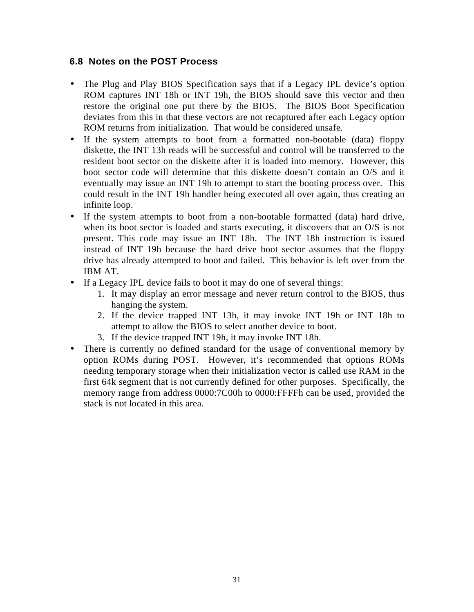## **6.8 Notes on the POST Process**

- The Plug and Play BIOS Specification says that if a Legacy IPL device's option ROM captures INT 18h or INT 19h, the BIOS should save this vector and then restore the original one put there by the BIOS. The BIOS Boot Specification deviates from this in that these vectors are not recaptured after each Legacy option ROM returns from initialization. That would be considered unsafe.
- If the system attempts to boot from a formatted non-bootable (data) floppy diskette, the INT 13h reads will be successful and control will be transferred to the resident boot sector on the diskette after it is loaded into memory. However, this boot sector code will determine that this diskette doesn't contain an O/S and it eventually may issue an INT 19h to attempt to start the booting process over. This could result in the INT 19h handler being executed all over again, thus creating an infinite loop.
- If the system attempts to boot from a non-bootable formatted (data) hard drive, when its boot sector is loaded and starts executing, it discovers that an O/S is not present. This code may issue an INT 18h. The INT 18h instruction is issued instead of INT 19h because the hard drive boot sector assumes that the floppy drive has already attempted to boot and failed. This behavior is left over from the IBM AT.
- If a Legacy IPL device fails to boot it may do one of several things:
	- 1. It may display an error message and never return control to the BIOS, thus hanging the system.
	- 2. If the device trapped INT 13h, it may invoke INT 19h or INT 18h to attempt to allow the BIOS to select another device to boot.
	- 3. If the device trapped INT 19h, it may invoke INT 18h.
- There is currently no defined standard for the usage of conventional memory by option ROMs during POST. However, it's recommended that options ROMs needing temporary storage when their initialization vector is called use RAM in the first 64k segment that is not currently defined for other purposes. Specifically, the memory range from address 0000:7C00h to 0000:FFFFh can be used, provided the stack is not located in this area.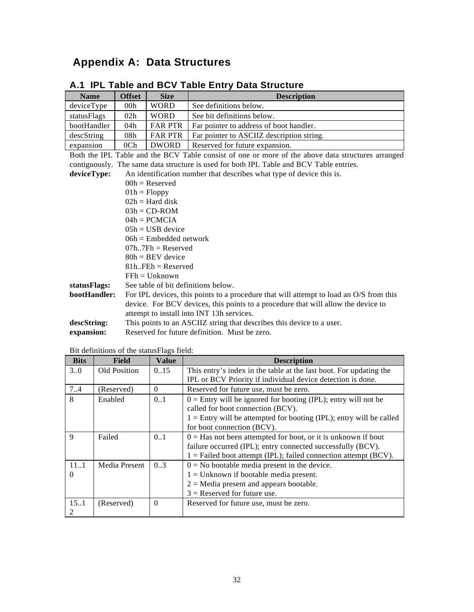# **Appendix A: Data Structures**

| <b>Name</b>  | <b>Offset</b>       | <b>Size</b>                                                           | <b>Description</b>                                                                                |  |  |  |  |
|--------------|---------------------|-----------------------------------------------------------------------|---------------------------------------------------------------------------------------------------|--|--|--|--|
| deviceType   | 00 <sub>h</sub>     | <b>WORD</b>                                                           | See definitions below.                                                                            |  |  |  |  |
| statusFlags  | 02h                 | <b>WORD</b>                                                           | See bit definitions below.                                                                        |  |  |  |  |
| bootHandler  | 04h                 | <b>FAR PTR</b>                                                        | Far pointer to address of boot handler.                                                           |  |  |  |  |
| descString   | 08h                 | <b>FAR PTR</b>                                                        | Far pointer to ASCIIZ description string.                                                         |  |  |  |  |
| expansion    | 0 <sub>Ch</sub>     | <b>DWORD</b>                                                          | Reserved for future expansion.                                                                    |  |  |  |  |
|              |                     |                                                                       | Both the IPL Table and the BCV Table consist of one or more of the above data structures arranged |  |  |  |  |
|              |                     |                                                                       | contiguously. The same data structure is used for both IPL Table and BCV Table entries.           |  |  |  |  |
| deviceType:  |                     |                                                                       | An identification number that describes what type of device this is.                              |  |  |  |  |
|              |                     | $00h$ = Reserved                                                      |                                                                                                   |  |  |  |  |
|              |                     | $01h = Floppy$                                                        |                                                                                                   |  |  |  |  |
|              |                     | $02h = Hard disk$                                                     |                                                                                                   |  |  |  |  |
|              |                     | $03h = CD-ROM$                                                        |                                                                                                   |  |  |  |  |
|              | $04h = PCMCIA$      |                                                                       |                                                                                                   |  |  |  |  |
|              | $0.5h = USB$ device |                                                                       |                                                                                                   |  |  |  |  |
|              |                     | $06h$ = Embedded network                                              |                                                                                                   |  |  |  |  |
|              |                     | $07h$ $7Fh =$ Reserved                                                |                                                                                                   |  |  |  |  |
|              |                     | $80h = BEV$ device                                                    |                                                                                                   |  |  |  |  |
|              |                     | $81h$ $F E h =$ Reserved                                              |                                                                                                   |  |  |  |  |
|              |                     | $F F h = U n k n$                                                     |                                                                                                   |  |  |  |  |
| statusFlags: |                     |                                                                       | See table of bit definitions below.                                                               |  |  |  |  |
| bootHandler: |                     |                                                                       | For IPL devices, this points to a procedure that will attempt to load an O/S from this            |  |  |  |  |
|              |                     |                                                                       | device. For BCV devices, this points to a procedure that will allow the device to                 |  |  |  |  |
|              |                     |                                                                       | attempt to install into INT 13h services.                                                         |  |  |  |  |
| descString:  |                     | This points to an ASCIIZ string that describes this device to a user. |                                                                                                   |  |  |  |  |
| expansion:   |                     | Reserved for future definition. Must be zero.                         |                                                                                                   |  |  |  |  |

L,

# **A.1 IPL Table and BCV Table Entry Data Structure**

Bit definitions of the statusFlags field:

| <b>Bits</b> | <b>Field</b>  | <b>Value</b> | <b>Description</b>                                                    |
|-------------|---------------|--------------|-----------------------------------------------------------------------|
| 30          | Old Position  | 0.15         | This entry's index in the table at the last boot. For updating the    |
|             |               |              | IPL or BCV Priority if individual device detection is done.           |
| 7.4         | (Reserved)    | $\Omega$     | Reserved for future use, must be zero.                                |
| 8           | Enabled       | 0.1          | $0 =$ Entry will be ignored for booting (IPL); entry will not be      |
|             |               |              | called for boot connection (BCV).                                     |
|             |               |              | $1 =$ Entry will be attempted for booting (IPL); entry will be called |
|             |               |              | for boot connection (BCV).                                            |
| 9           | Failed        | 0.1          | $0 = Has$ not been attempted for boot, or it is unknown if boot       |
|             |               |              | failure occurred (IPL); entry connected successfully (BCV).           |
|             |               |              | $1 =$ Failed boot attempt (IPL); failed connection attempt (BCV).     |
| 111         | Media Present | 0.3          | $0 = No$ bootable media present in the device.                        |
| $\Omega$    |               |              | $1 =$ Unknown if bootable media present.                              |
|             |               |              | $2$ = Media present and appears bootable.                             |
|             |               |              | $3$ = Reserved for future use.                                        |
| 15.1        | (Reserved)    | $\Omega$     | Reserved for future use, must be zero.                                |
| 2           |               |              |                                                                       |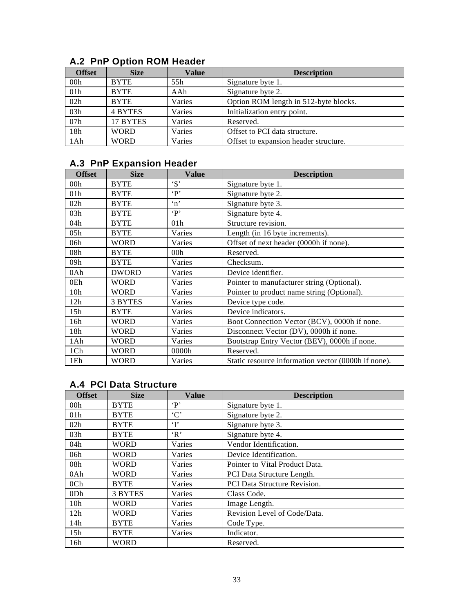| <b>Offset</b> | <b>Size</b>    | <b>Value</b> | <b>Description</b>                    |
|---------------|----------------|--------------|---------------------------------------|
| 00h           | <b>BYTE</b>    | 55h          | Signature byte 1.                     |
| 01h           | <b>BYTE</b>    | AAh          | Signature byte 2.                     |
| 02h           | <b>BYTE</b>    | Varies       | Option ROM length in 512-byte blocks. |
| 03h           | <b>4 BYTES</b> | Varies       | Initialization entry point.           |
| 07h           | 17 BYTES       | Varies       | Reserved.                             |
| 18h           | <b>WORD</b>    | Varies       | Offset to PCI data structure.         |
| 1Ah           | <b>WORD</b>    | Varies       | Offset to expansion header structure. |

# **A.2 PnP Option ROM Header**

# **A.3 PnP Expansion Header**

| <b>Offset</b>   | <b>Size</b>  | <b>Value</b>           | <b>Description</b>                                  |
|-----------------|--------------|------------------------|-----------------------------------------------------|
| 00 <sub>h</sub> | <b>BYTE</b>  | $\cdot$ s <sup>2</sup> | Signature byte 1.                                   |
| 01 <sub>h</sub> | <b>BYTE</b>  | $\cdot P$              | Signature byte 2.                                   |
| 02h             | <b>BYTE</b>  | $\mathbf{m}$           | Signature byte 3.                                   |
| 03h             | <b>BYTE</b>  | $\cdot P$              | Signature byte 4.                                   |
| 04h             | <b>BYTE</b>  | 01 <sub>h</sub>        | Structure revision.                                 |
| 05h             | <b>BYTE</b>  | Varies                 | Length (in 16 byte increments).                     |
| 06h             | <b>WORD</b>  | Varies                 | Offset of next header (0000h if none).              |
| 08h             | <b>BYTE</b>  | 00 <sub>h</sub>        | Reserved.                                           |
| 09h             | <b>BYTE</b>  | Varies                 | Checksum.                                           |
| 0Ah             | <b>DWORD</b> | Varies                 | Device identifier.                                  |
| 0Eh             | <b>WORD</b>  | Varies                 | Pointer to manufacturer string (Optional).          |
| 10 <sub>h</sub> | <b>WORD</b>  | Varies                 | Pointer to product name string (Optional).          |
| 12h             | 3 BYTES      | Varies                 | Device type code.                                   |
| 15h             | <b>BYTE</b>  | Varies                 | Device indicators.                                  |
| 16h             | <b>WORD</b>  | Varies                 | Boot Connection Vector (BCV), 0000h if none.        |
| 18h             | <b>WORD</b>  | Varies                 | Disconnect Vector (DV), 0000h if none.              |
| 1Ah             | <b>WORD</b>  | Varies                 | Bootstrap Entry Vector (BEV), 0000h if none.        |
| 1Ch             | <b>WORD</b>  | 0000h                  | Reserved.                                           |
| 1Eh             | <b>WORD</b>  | Varies                 | Static resource information vector (0000h if none). |

# **A.4 PCI Data Structure**

| <b>Offset</b>   | <b>Size</b> | <b>Value</b> | <b>Description</b>             |
|-----------------|-------------|--------------|--------------------------------|
| 00 <sub>h</sub> | <b>BYTE</b> | $\mathbf{P}$ | Signature byte 1.              |
| 01 <sub>h</sub> | <b>BYTE</b> | $\cdot$ C    | Signature byte 2.              |
| 02h             | <b>BYTE</b> | $\mathbf{T}$ | Signature byte 3.              |
| 03h             | <b>BYTE</b> | R            | Signature byte 4.              |
| 04h             | <b>WORD</b> | Varies       | Vendor Identification.         |
| 06h             | <b>WORD</b> | Varies       | Device Identification.         |
| 08h             | <b>WORD</b> | Varies       | Pointer to Vital Product Data. |
| 0Ah             | <b>WORD</b> | Varies       | PCI Data Structure Length.     |
| 0 <sub>Ch</sub> | <b>BYTE</b> | Varies       | PCI Data Structure Revision.   |
| ODh             | 3 BYTES     | Varies       | Class Code.                    |
| 10 <sub>h</sub> | <b>WORD</b> | Varies       | Image Length.                  |
| 12h             | <b>WORD</b> | Varies       | Revision Level of Code/Data.   |
| 14h             | <b>BYTE</b> | Varies       | Code Type.                     |
| 15 <sub>h</sub> | <b>BYTE</b> | Varies       | Indicator.                     |
| 16h             | <b>WORD</b> |              | Reserved.                      |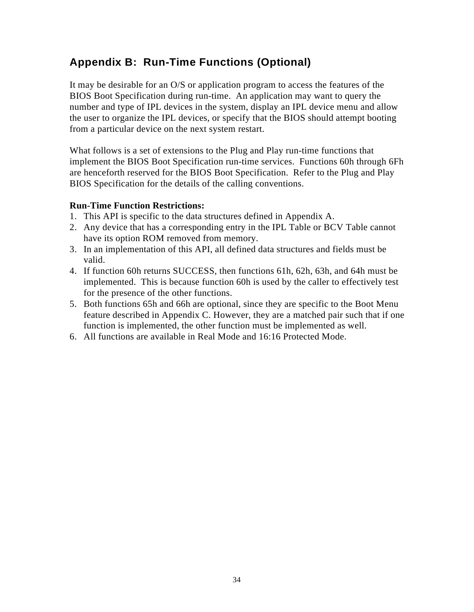# **Appendix B: Run-Time Functions (Optional)**

It may be desirable for an O/S or application program to access the features of the BIOS Boot Specification during run-time. An application may want to query the number and type of IPL devices in the system, display an IPL device menu and allow the user to organize the IPL devices, or specify that the BIOS should attempt booting from a particular device on the next system restart.

What follows is a set of extensions to the Plug and Play run-time functions that implement the BIOS Boot Specification run-time services. Functions 60h through 6Fh are henceforth reserved for the BIOS Boot Specification. Refer to the Plug and Play BIOS Specification for the details of the calling conventions.

## **Run-Time Function Restrictions:**

- 1. This API is specific to the data structures defined in Appendix A.
- 2. Any device that has a corresponding entry in the IPL Table or BCV Table cannot have its option ROM removed from memory.
- 3. In an implementation of this API, all defined data structures and fields must be valid.
- 4. If function 60h returns SUCCESS, then functions 61h, 62h, 63h, and 64h must be implemented. This is because function 60h is used by the caller to effectively test for the presence of the other functions.
- 5. Both functions 65h and 66h are optional, since they are specific to the Boot Menu feature described in Appendix C. However, they are a matched pair such that if one function is implemented, the other function must be implemented as well.
- 6. All functions are available in Real Mode and 16:16 Protected Mode.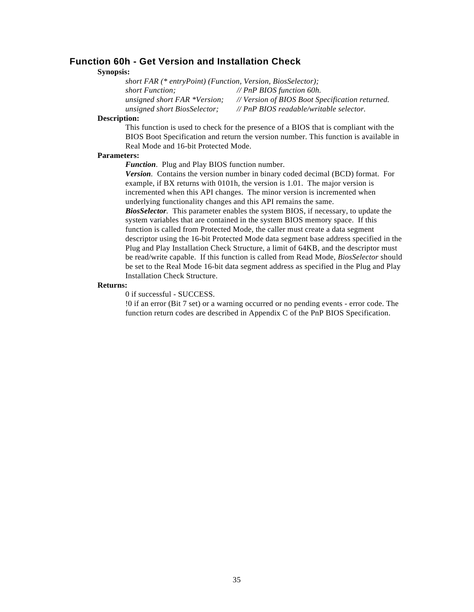#### **Function 60h - Get Version and Installation Check**

#### **Synopsis:**

*short FAR (\* entryPoint) (Function, Version, BiosSelector); short Function; // PnP BIOS function 60h. unsigned short FAR \*Version; // Version of BIOS Boot Specification returned. unsigned short BiosSelector; // PnP BIOS readable/writable selector.*

#### **Description:**

This function is used to check for the presence of a BIOS that is compliant with the BIOS Boot Specification and return the version number. This function is available in Real Mode and 16-bit Protected Mode.

#### **Parameters:**

*Function*. Plug and Play BIOS function number.

*Version.* Contains the version number in binary coded decimal (BCD) format. For example, if BX returns with 0101h, the version is 1.01. The major version is incremented when this API changes. The minor version is incremented when underlying functionality changes and this API remains the same.

*BiosSelector.* This parameter enables the system BIOS, if necessary, to update the system variables that are contained in the system BIOS memory space. If this function is called from Protected Mode, the caller must create a data segment descriptor using the 16-bit Protected Mode data segment base address specified in the Plug and Play Installation Check Structure, a limit of 64KB, and the descriptor must be read/write capable. If this function is called from Read Mode, *BiosSelector* should be set to the Real Mode 16-bit data segment address as specified in the Plug and Play Installation Check Structure.

#### **Returns:**

0 if successful - SUCCESS.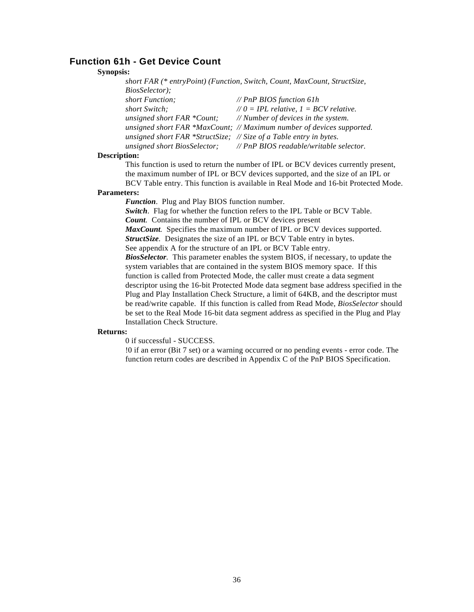### **Function 61h - Get Device Count**

#### **Synopsis:**

| 13.                                                                      |                                                                       |  |  |  |  |  |
|--------------------------------------------------------------------------|-----------------------------------------------------------------------|--|--|--|--|--|
| short FAR (* entryPoint) (Function, Switch, Count, MaxCount, StructSize, |                                                                       |  |  |  |  |  |
| <i>BiosSelector</i> );                                                   |                                                                       |  |  |  |  |  |
| short Function;                                                          | // PnP BIOS function 61h                                              |  |  |  |  |  |
| short Switch;                                                            | $\angle$ /0 = IPL relative, 1 = BCV relative.                         |  |  |  |  |  |
| unsigned short FAR *Count;                                               | // Number of devices in the system.                                   |  |  |  |  |  |
|                                                                          | unsigned short FAR *MaxCount; // Maximum number of devices supported. |  |  |  |  |  |
| unsigned short FAR *StructSize; $\#$ Size of a Table entry in bytes.     |                                                                       |  |  |  |  |  |
|                                                                          | unsigned short BiosSelector; // PnP BIOS readable/writable selector.  |  |  |  |  |  |
|                                                                          |                                                                       |  |  |  |  |  |

#### **Description:**

This function is used to return the number of IPL or BCV devices currently present, the maximum number of IPL or BCV devices supported, and the size of an IPL or BCV Table entry. This function is available in Real Mode and 16-bit Protected Mode.

#### **Parameters:**

*Function*. Plug and Play BIOS function number.

*Switch*. Flag for whether the function refers to the IPL Table or BCV Table. *Count.* Contains the number of IPL or BCV devices present *MaxCount.* Specifies the maximum number of IPL or BCV devices supported. *StructSize.* Designates the size of an IPL or BCV Table entry in bytes. See appendix A for the structure of an IPL or BCV Table entry. *BiosSelector.* This parameter enables the system BIOS, if necessary, to update the system variables that are contained in the system BIOS memory space. If this function is called from Protected Mode, the caller must create a data segment descriptor using the 16-bit Protected Mode data segment base address specified in the Plug and Play Installation Check Structure, a limit of 64KB, and the descriptor must be read/write capable. If this function is called from Read Mode, *BiosSelector* should be set to the Real Mode 16-bit data segment address as specified in the Plug and Play Installation Check Structure.

#### **Returns:**

0 if successful - SUCCESS.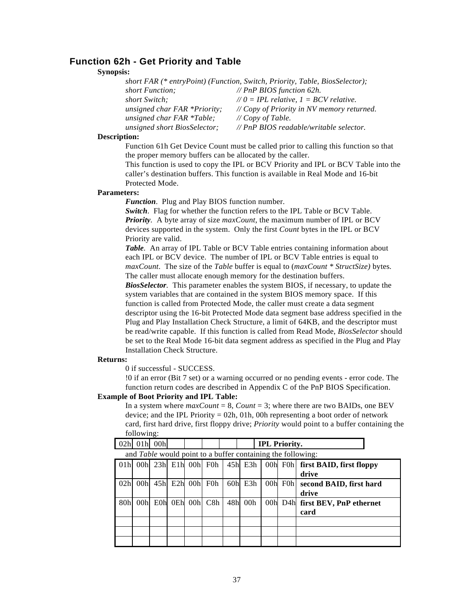### **Function 62h - Get Priority and Table**

#### **Synopsis:**

| short FAR (* entryPoint) (Function, Switch, Priority, Table, BiosSelector); |                                              |  |  |  |  |
|-----------------------------------------------------------------------------|----------------------------------------------|--|--|--|--|
| short Function;                                                             | // PnP BIOS function 62h.                    |  |  |  |  |
| short Switch;                                                               | $\angle$ 0 = IPL relative, 1 = BCV relative. |  |  |  |  |
| unsigned char FAR *Priority;                                                | // Copy of Priority in NV memory returned.   |  |  |  |  |
| unsigned char $FAR *Table$ ;                                                | $\# Copy$ of Table.                          |  |  |  |  |
| unsigned short BiosSelector;                                                | // PnP BIOS readable/writable selector.      |  |  |  |  |

#### **Description:**

Function 61h Get Device Count must be called prior to calling this function so that the proper memory buffers can be allocated by the caller.

This function is used to copy the IPL or BCV Priority and IPL or BCV Table into the caller's destination buffers. This function is available in Real Mode and 16-bit Protected Mode.

#### **Parameters:**

*Function*. Plug and Play BIOS function number.

*Switch*. Flag for whether the function refers to the IPL Table or BCV Table. *Priority.* A byte array of size *maxCount*, the maximum number of IPL or BCV devices supported in the system. Only the first *Count* bytes in the IPL or BCV Priority are valid.

*Table.* An array of IPL Table or BCV Table entries containing information about each IPL or BCV device. The number of IPL or BCV Table entries is equal to *maxCount*. The size of the *Table* buffer is equal to (*maxCount \* StructSize)* bytes*.* The caller must allocate enough memory for the destination buffers.

*BiosSelector.* This parameter enables the system BIOS, if necessary, to update the system variables that are contained in the system BIOS memory space. If this function is called from Protected Mode, the caller must create a data segment descriptor using the 16-bit Protected Mode data segment base address specified in the Plug and Play Installation Check Structure, a limit of 64KB, and the descriptor must be read/write capable. If this function is called from Read Mode, *BiosSelector* should be set to the Real Mode 16-bit data segment address as specified in the Plug and Play Installation Check Structure.

#### **Returns:**

0 if successful - SUCCESS.

!0 if an error (Bit 7 set) or a warning occurred or no pending events - error code. The function return codes are described in Appendix C of the PnP BIOS Specification.

#### **Example of Boot Priority and IPL Table:**

In a system where  $maxCount = 8$ , *Count* = 3; where there are two BAIDs, one BEV device; and the IPL Priority = 02h, 01h, 00h representing a boot order of network card, first hard drive, first floppy drive; *Priority* would point to a buffer containing the following:

|                                                                    |                                                              | <b>IPL Priority.</b> |  |           |  |                 |  | 01h 00h |                 | 02h             |
|--------------------------------------------------------------------|--------------------------------------------------------------|----------------------|--|-----------|--|-----------------|--|---------|-----------------|-----------------|
| and <i>Table</i> would point to a buffer containing the following: |                                                              |                      |  |           |  |                 |  |         |                 |                 |
|                                                                    | 00h 23h E1h 00h F0h 45h E3h 00h F0h first BAID, first floppy |                      |  |           |  |                 |  |         |                 | 01 <sub>h</sub> |
|                                                                    | drive                                                        |                      |  |           |  |                 |  |         |                 |                 |
|                                                                    | second BAID, first hard                                      | 00h F0h              |  | $60h$ E3h |  | 45h E2h 00h F0h |  |         | 00 <sub>h</sub> | 02 <sub>h</sub> |
|                                                                    | drive                                                        |                      |  |           |  |                 |  |         |                 |                 |
|                                                                    | first BEV, PnP ethernet                                      | $00h$ D4 $h$         |  | 48h 00h   |  | 0Eh 00h C8h     |  | E0h     | 00h             | 80 <sub>h</sub> |
|                                                                    | card                                                         |                      |  |           |  |                 |  |         |                 |                 |
|                                                                    |                                                              |                      |  |           |  |                 |  |         |                 |                 |
|                                                                    |                                                              |                      |  |           |  |                 |  |         |                 |                 |
|                                                                    |                                                              |                      |  |           |  |                 |  |         |                 |                 |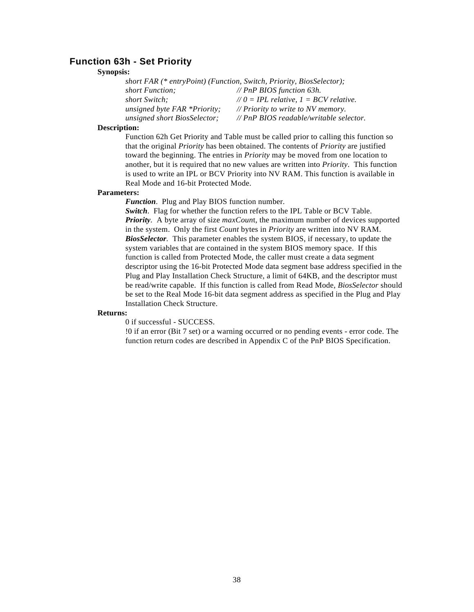### **Function 63h - Set Priority**

#### **Synopsis:**

| short FAR (* entryPoint) (Function, Switch, Priority, BiosSelector); |                                              |  |  |  |  |  |
|----------------------------------------------------------------------|----------------------------------------------|--|--|--|--|--|
| short Function:                                                      | // PnP BIOS function 63h.                    |  |  |  |  |  |
| <i>short Switch</i> :                                                | $\angle$ 0 = IPL relative, 1 = BCV relative. |  |  |  |  |  |
| unsigned byte FAR *Priority;                                         | // Priority to write to NV memory.           |  |  |  |  |  |
| unsigned short BiosSelector;                                         | // PnP BIOS readable/writable selector.      |  |  |  |  |  |

#### **Description:**

Function 62h Get Priority and Table must be called prior to calling this function so that the original *Priority* has been obtained. The contents of *Priority* are justified toward the beginning. The entries in *Priority* may be moved from one location to another, but it is required that no new values are written into *Priority*. This function is used to write an IPL or BCV Priority into NV RAM. This function is available in Real Mode and 16-bit Protected Mode.

#### **Parameters:**

*Function*. Plug and Play BIOS function number.

*Switch*. Flag for whether the function refers to the IPL Table or BCV Table. *Priority.* A byte array of size *maxCoun*t, the maximum number of devices supported in the system. Only the first *Count* bytes in *Priority* are written into NV RAM. *BiosSelector.* This parameter enables the system BIOS, if necessary, to update the system variables that are contained in the system BIOS memory space. If this function is called from Protected Mode, the caller must create a data segment descriptor using the 16-bit Protected Mode data segment base address specified in the Plug and Play Installation Check Structure, a limit of 64KB, and the descriptor must be read/write capable. If this function is called from Read Mode, *BiosSelector* should be set to the Real Mode 16-bit data segment address as specified in the Plug and Play Installation Check Structure.

#### **Returns:**

0 if successful - SUCCESS.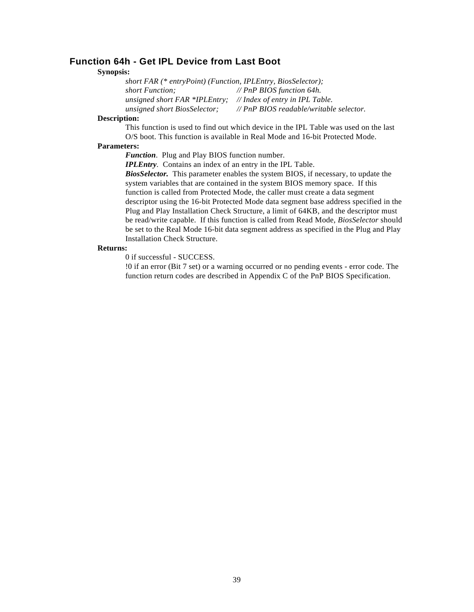### **Function 64h - Get IPL Device from Last Boot**

#### **Synopsis:**

*short FAR (\* entryPoint) (Function, IPLEntry, BiosSelector); short Function; // PnP BIOS function 64h. unsigned short FAR \*IPLEntry; // Index of entry in IPL Table. unsigned short BiosSelector; // PnP BIOS readable/writable selector.*

#### **Description:**

This function is used to find out which device in the IPL Table was used on the last O/S boot. This function is available in Real Mode and 16-bit Protected Mode.

#### **Parameters:**

*Function*. Plug and Play BIOS function number.

*IPLEntry.* Contains an index of an entry in the IPL Table.

*BiosSelector.* This parameter enables the system BIOS, if necessary, to update the system variables that are contained in the system BIOS memory space. If this function is called from Protected Mode, the caller must create a data segment descriptor using the 16-bit Protected Mode data segment base address specified in the Plug and Play Installation Check Structure, a limit of 64KB, and the descriptor must be read/write capable. If this function is called from Read Mode, *BiosSelector* should be set to the Real Mode 16-bit data segment address as specified in the Plug and Play Installation Check Structure.

#### **Returns:**

0 if successful - SUCCESS.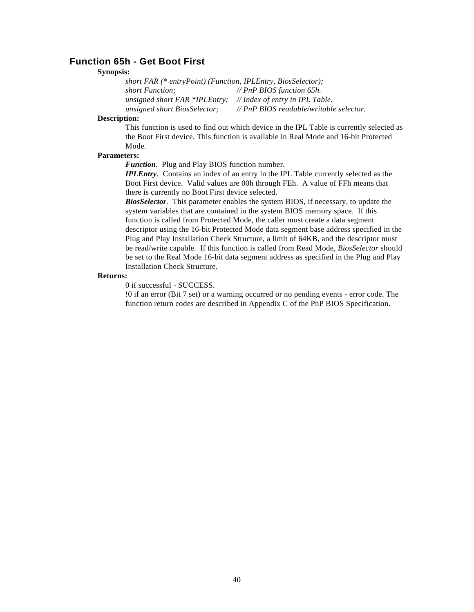### **Function 65h - Get Boot First**

#### **Synopsis:**

*short FAR (\* entryPoint) (Function, IPLEntry, BiosSelector); short Function; // PnP BIOS function 65h. unsigned short FAR \*IPLEntry; // Index of entry in IPL Table. unsigned short BiosSelector; // PnP BIOS readable/writable selector.*

#### **Description:**

This function is used to find out which device in the IPL Table is currently selected as the Boot First device. This function is available in Real Mode and 16-bit Protected Mode.

#### **Parameters:**

*Function*. Plug and Play BIOS function number.

*IPLEntry.* Contains an index of an entry in the IPL Table currently selected as the Boot First device. Valid values are 00h through FEh. A value of FFh means that there is currently no Boot First device selected.

*BiosSelector.* This parameter enables the system BIOS, if necessary, to update the system variables that are contained in the system BIOS memory space. If this function is called from Protected Mode, the caller must create a data segment descriptor using the 16-bit Protected Mode data segment base address specified in the Plug and Play Installation Check Structure, a limit of 64KB, and the descriptor must be read/write capable. If this function is called from Read Mode, *BiosSelector* should be set to the Real Mode 16-bit data segment address as specified in the Plug and Play Installation Check Structure.

#### **Returns:**

0 if successful - SUCCESS.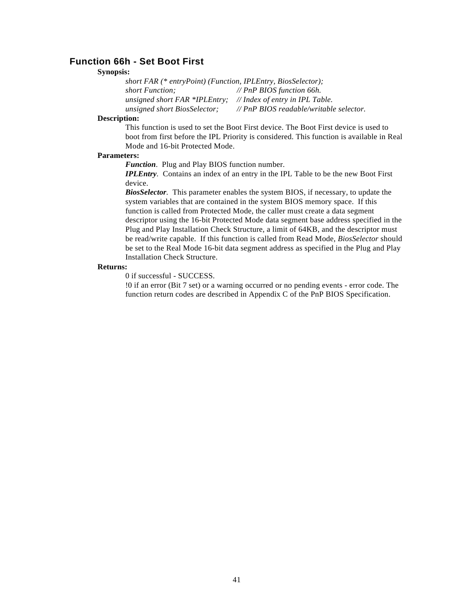### **Function 66h - Set Boot First**

#### **Synopsis:**

*short FAR (\* entryPoint) (Function, IPLEntry, BiosSelector); short Function; // PnP BIOS function 66h. unsigned short FAR \*IPLEntry; // Index of entry in IPL Table. unsigned short BiosSelector; // PnP BIOS readable/writable selector.*

#### **Description:**

This function is used to set the Boot First device. The Boot First device is used to boot from first before the IPL Priority is considered. This function is available in Real Mode and 16-bit Protected Mode.

#### **Parameters:**

*Function*. Plug and Play BIOS function number.

*IPLEntry.* Contains an index of an entry in the IPL Table to be the new Boot First device.

*BiosSelector.* This parameter enables the system BIOS, if necessary, to update the system variables that are contained in the system BIOS memory space. If this function is called from Protected Mode, the caller must create a data segment descriptor using the 16-bit Protected Mode data segment base address specified in the Plug and Play Installation Check Structure, a limit of 64KB, and the descriptor must be read/write capable. If this function is called from Read Mode, *BiosSelector* should be set to the Real Mode 16-bit data segment address as specified in the Plug and Play Installation Check Structure.

#### **Returns:**

0 if successful - SUCCESS.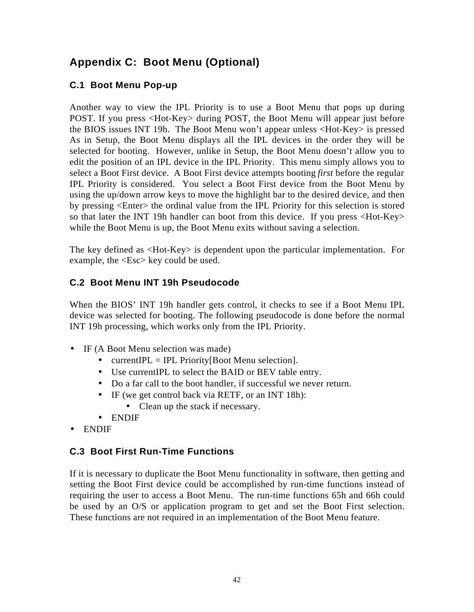# **Appendix C: Boot Menu (Optional)**

# **C.1 Boot Menu Pop-up**

Another way to view the IPL Priority is to use a Boot Menu that pops up during POST. If you press <Hot-Key> during POST, the Boot Menu will appear just before the BIOS issues INT 19h. The Boot Menu won't appear unless <Hot-Key> is pressed As in Setup, the Boot Menu displays all the IPL devices in the order they will be selected for booting. However, unlike in Setup, the Boot Menu doesn't allow you to edit the position of an IPL device in the IPL Priority. This menu simply allows you to select a Boot First device. A Boot First device attempts booting *first* before the regular IPL Priority is considered. You select a Boot First device from the Boot Menu by using the up/down arrow keys to move the highlight bar to the desired device, and then by pressing <Enter> the ordinal value from the IPL Priority for this selection is stored so that later the INT 19h handler can boot from this device. If you press <Hot-Key> while the Boot Menu is up, the Boot Menu exits without saving a selection.

The key defined as <Hot-Key> is dependent upon the particular implementation. For example, the <Esc> key could be used.

# **C.2 Boot Menu INT 19h Pseudocode**

When the BIOS' INT 19h handler gets control, it checks to see if a Boot Menu IPL device was selected for booting. The following pseudocode is done before the normal INT 19h processing, which works only from the IPL Priority.

- IF (A Boot Menu selection was made)
	- currentIPL = IPL Priority [Boot Menu selection].
	- Use currentIPL to select the BAID or BEV table entry.
	- Do a far call to the boot handler, if successful we never return.
	- IF (we get control back via RETF, or an INT 18h):
		- Clean up the stack if necessary.
	- ENDIF
- ENDIF

# **C.3 Boot First Run-Time Functions**

If it is necessary to duplicate the Boot Menu functionality in software, then getting and setting the Boot First device could be accomplished by run-time functions instead of requiring the user to access a Boot Menu. The run-time functions 65h and 66h could be used by an O/S or application program to get and set the Boot First selection. These functions are not required in an implementation of the Boot Menu feature.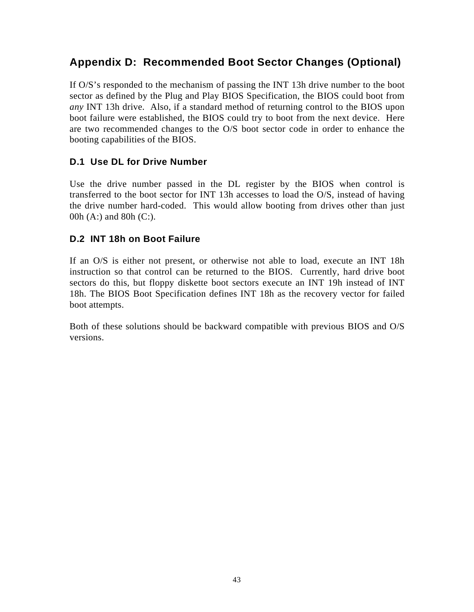# **Appendix D: Recommended Boot Sector Changes (Optional)**

If O/S's responded to the mechanism of passing the INT 13h drive number to the boot sector as defined by the Plug and Play BIOS Specification, the BIOS could boot from *any* INT 13h drive. Also, if a standard method of returning control to the BIOS upon boot failure were established, the BIOS could try to boot from the next device. Here are two recommended changes to the O/S boot sector code in order to enhance the booting capabilities of the BIOS.

# **D.1 Use DL for Drive Number**

Use the drive number passed in the DL register by the BIOS when control is transferred to the boot sector for INT 13h accesses to load the O/S, instead of having the drive number hard-coded. This would allow booting from drives other than just 00h (A:) and 80h (C:).

# **D.2 INT 18h on Boot Failure**

If an O/S is either not present, or otherwise not able to load, execute an INT 18h instruction so that control can be returned to the BIOS. Currently, hard drive boot sectors do this, but floppy diskette boot sectors execute an INT 19h instead of INT 18h. The BIOS Boot Specification defines INT 18h as the recovery vector for failed boot attempts.

Both of these solutions should be backward compatible with previous BIOS and O/S versions.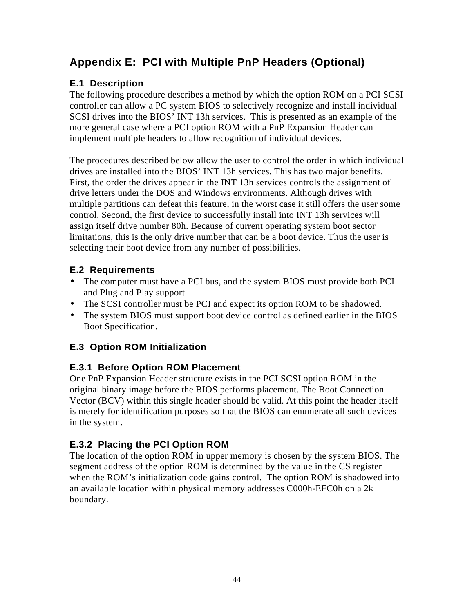# **Appendix E: PCI with Multiple PnP Headers (Optional)**

# **E.1 Description**

The following procedure describes a method by which the option ROM on a PCI SCSI controller can allow a PC system BIOS to selectively recognize and install individual SCSI drives into the BIOS' INT 13h services. This is presented as an example of the more general case where a PCI option ROM with a PnP Expansion Header can implement multiple headers to allow recognition of individual devices.

The procedures described below allow the user to control the order in which individual drives are installed into the BIOS' INT 13h services. This has two major benefits. First, the order the drives appear in the INT 13h services controls the assignment of drive letters under the DOS and Windows environments. Although drives with multiple partitions can defeat this feature, in the worst case it still offers the user some control. Second, the first device to successfully install into INT 13h services will assign itself drive number 80h. Because of current operating system boot sector limitations, this is the only drive number that can be a boot device. Thus the user is selecting their boot device from any number of possibilities.

# **E.2 Requirements**

- The computer must have a PCI bus, and the system BIOS must provide both PCI and Plug and Play support.
- The SCSI controller must be PCI and expect its option ROM to be shadowed.
- The system BIOS must support boot device control as defined earlier in the BIOS Boot Specification.

# **E.3 Option ROM Initialization**

# **E.3.1 Before Option ROM Placement**

One PnP Expansion Header structure exists in the PCI SCSI option ROM in the original binary image before the BIOS performs placement. The Boot Connection Vector (BCV) within this single header should be valid. At this point the header itself is merely for identification purposes so that the BIOS can enumerate all such devices in the system.

# **E.3.2 Placing the PCI Option ROM**

The location of the option ROM in upper memory is chosen by the system BIOS. The segment address of the option ROM is determined by the value in the CS register when the ROM's initialization code gains control. The option ROM is shadowed into an available location within physical memory addresses C000h-EFC0h on a 2k boundary.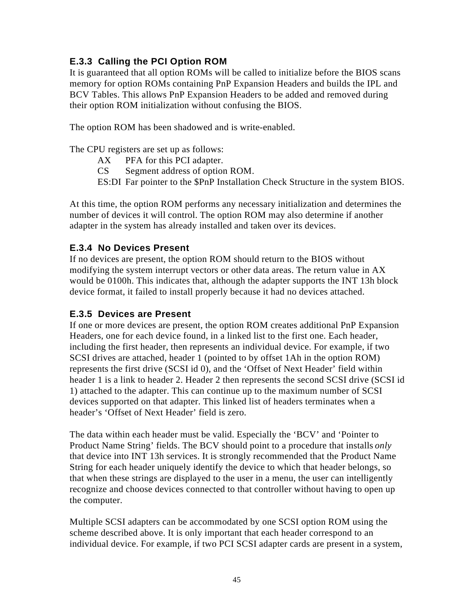# **E.3.3 Calling the PCI Option ROM**

It is guaranteed that all option ROMs will be called to initialize before the BIOS scans memory for option ROMs containing PnP Expansion Headers and builds the IPL and BCV Tables. This allows PnP Expansion Headers to be added and removed during their option ROM initialization without confusing the BIOS.

The option ROM has been shadowed and is write-enabled.

The CPU registers are set up as follows:

- AX PFA for this PCI adapter.
- CS Segment address of option ROM.
- ES:DI Far pointer to the \$PnP Installation Check Structure in the system BIOS.

At this time, the option ROM performs any necessary initialization and determines the number of devices it will control. The option ROM may also determine if another adapter in the system has already installed and taken over its devices.

# **E.3.4 No Devices Present**

If no devices are present, the option ROM should return to the BIOS without modifying the system interrupt vectors or other data areas. The return value in AX would be 0100h. This indicates that, although the adapter supports the INT 13h block device format, it failed to install properly because it had no devices attached.

## **E.3.5 Devices are Present**

If one or more devices are present, the option ROM creates additional PnP Expansion Headers, one for each device found, in a linked list to the first one. Each header, including the first header, then represents an individual device. For example, if two SCSI drives are attached, header 1 (pointed to by offset 1Ah in the option ROM) represents the first drive (SCSI id 0), and the 'Offset of Next Header' field within header 1 is a link to header 2. Header 2 then represents the second SCSI drive (SCSI id 1) attached to the adapter. This can continue up to the maximum number of SCSI devices supported on that adapter. This linked list of headers terminates when a header's 'Offset of Next Header' field is zero.

The data within each header must be valid. Especially the 'BCV' and 'Pointer to Product Name String' fields. The BCV should point to a procedure that installs *only* that device into INT 13h services. It is strongly recommended that the Product Name String for each header uniquely identify the device to which that header belongs, so that when these strings are displayed to the user in a menu, the user can intelligently recognize and choose devices connected to that controller without having to open up the computer.

Multiple SCSI adapters can be accommodated by one SCSI option ROM using the scheme described above. It is only important that each header correspond to an individual device. For example, if two PCI SCSI adapter cards are present in a system,